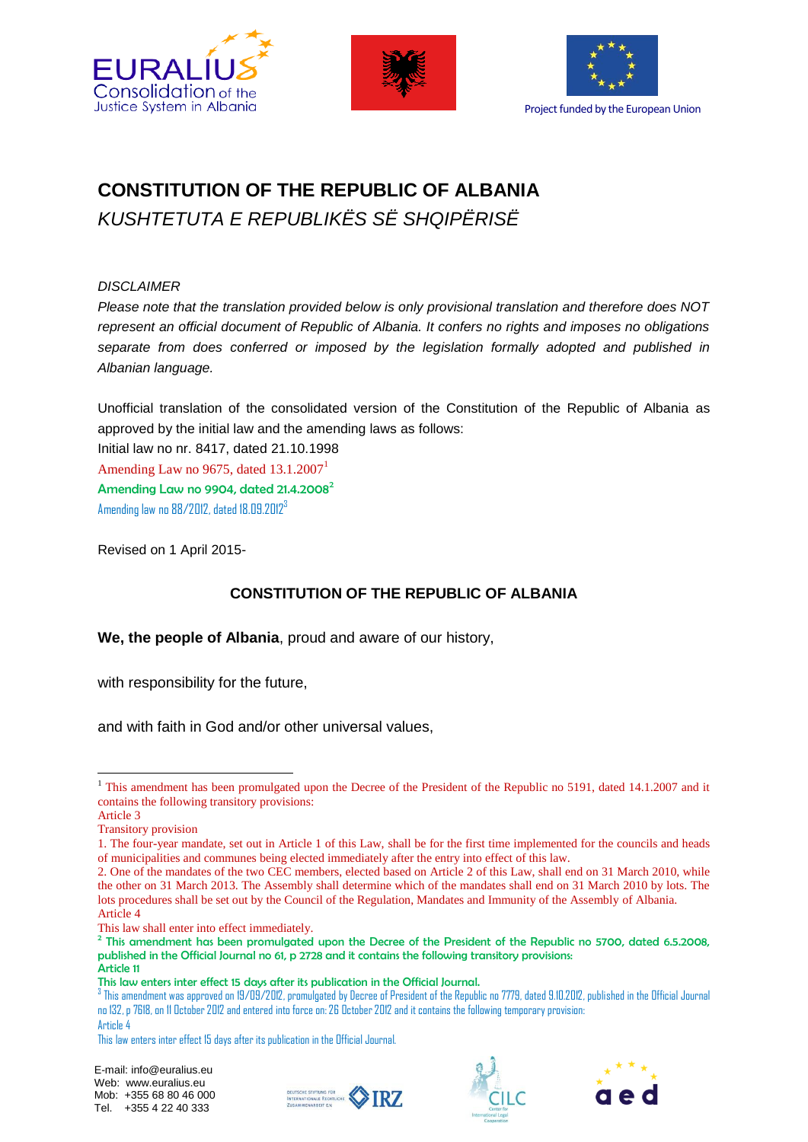





# **CONSTITUTION OF THE REPUBLIC OF ALBANIA**  *KUSHTETUTA E REPUBLIKËS SË SHQIPËRISË*

### *DISCLAIMER*

*Please note that the translation provided below is only provisional translation and therefore does NOT represent an official document of Republic of Albania. It confers no rights and imposes no obligations separate from does conferred or imposed by the legislation formally adopted and published in Albanian language.* 

Unofficial translation of the consolidated version of the Constitution of the Republic of Albania as approved by the initial law and the amending laws as follows:

Initial law no nr. 8417, dated 21.10.1998 Amending Law no 9675, dated  $13.1.2007<sup>1</sup>$ Amending Law no 9904, dated  $21.4.2008^2$ Amending law no 88/2012, dated 18.09.2012<sup>3</sup>

Revised on 1 April 2015-

### **CONSTITUTION OF THE REPUBLIC OF ALBANIA**

**We, the people of Albania**, proud and aware of our history,

with responsibility for the future,

and with faith in God and/or other universal values,

1

This law shall enter into effect immediately.







<sup>&</sup>lt;sup>1</sup> This amendment has been promulgated upon the Decree of the President of the Republic no 5191, dated 14.1.2007 and it contains the following transitory provisions:

Article 3

Transitory provision

<sup>1.</sup> The four-year mandate, set out in Article 1 of this Law, shall be for the first time implemented for the councils and heads of municipalities and communes being elected immediately after the entry into effect of this law.

<sup>2.</sup> One of the mandates of the two CEC members, elected based on Article 2 of this Law, shall end on 31 March 2010, while the other on 31 March 2013. The Assembly shall determine which of the mandates shall end on 31 March 2010 by lots. The lots procedures shall be set out by the Council of the Regulation, Mandates and Immunity of the Assembly of Albania. Article 4

<sup>&</sup>lt;sup>2</sup> This amendment has been promulgated upon the Decree of the President of the Republic no 5700, dated 6.5.2008, published in the Official Journal no 61, p 2728 and it contains the following transitory provisions: Article 11

This law enters inter effect 15 days after its publication in the Official Journal.

 $^3$  This amendment was approved on 19/09/2012, promulgated by Decree of President of the Republic no 7779, dated 9.10.2012, published in the Official Journal no 132, p 7618, on 11 October 2012 and entered into force on: 26 October 2012 and it contains the following temporary provision: Article 4

This law enters inter effect 15 days after its publication in the Official Journal.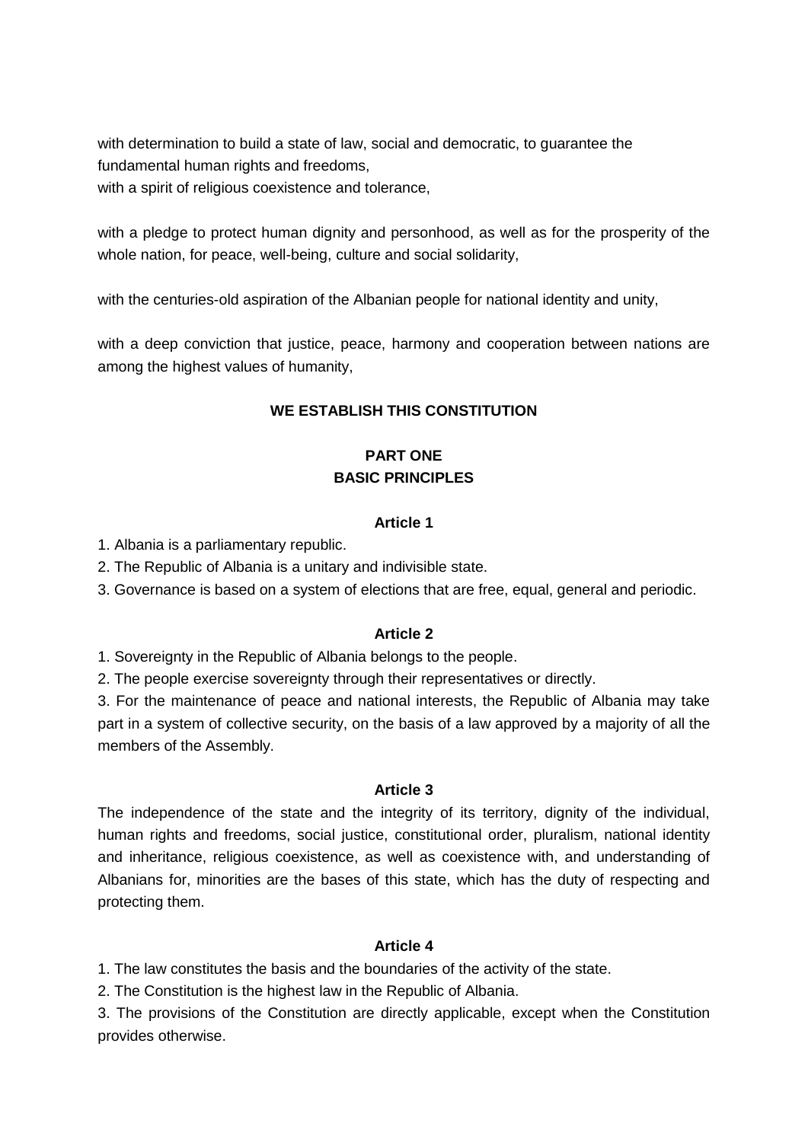with determination to build a state of law, social and democratic, to guarantee the fundamental human rights and freedoms,

with a spirit of religious coexistence and tolerance,

with a pledge to protect human dignity and personhood, as well as for the prosperity of the whole nation, for peace, well-being, culture and social solidarity,

with the centuries-old aspiration of the Albanian people for national identity and unity,

with a deep conviction that justice, peace, harmony and cooperation between nations are among the highest values of humanity.

### **WE ESTABLISH THIS CONSTITUTION**

# **PART ONE BASIC PRINCIPLES**

### **Article 1**

1. Albania is a parliamentary republic.

2. The Republic of Albania is a unitary and indivisible state.

3. Governance is based on a system of elections that are free, equal, general and periodic.

### **Article 2**

1. Sovereignty in the Republic of Albania belongs to the people.

2. The people exercise sovereignty through their representatives or directly.

3. For the maintenance of peace and national interests, the Republic of Albania may take part in a system of collective security, on the basis of a law approved by a majority of all the members of the Assembly.

### **Article 3**

The independence of the state and the integrity of its territory, dignity of the individual, human rights and freedoms, social justice, constitutional order, pluralism, national identity and inheritance, religious coexistence, as well as coexistence with, and understanding of Albanians for, minorities are the bases of this state, which has the duty of respecting and protecting them.

### **Article 4**

1. The law constitutes the basis and the boundaries of the activity of the state.

2. The Constitution is the highest law in the Republic of Albania.

3. The provisions of the Constitution are directly applicable, except when the Constitution provides otherwise.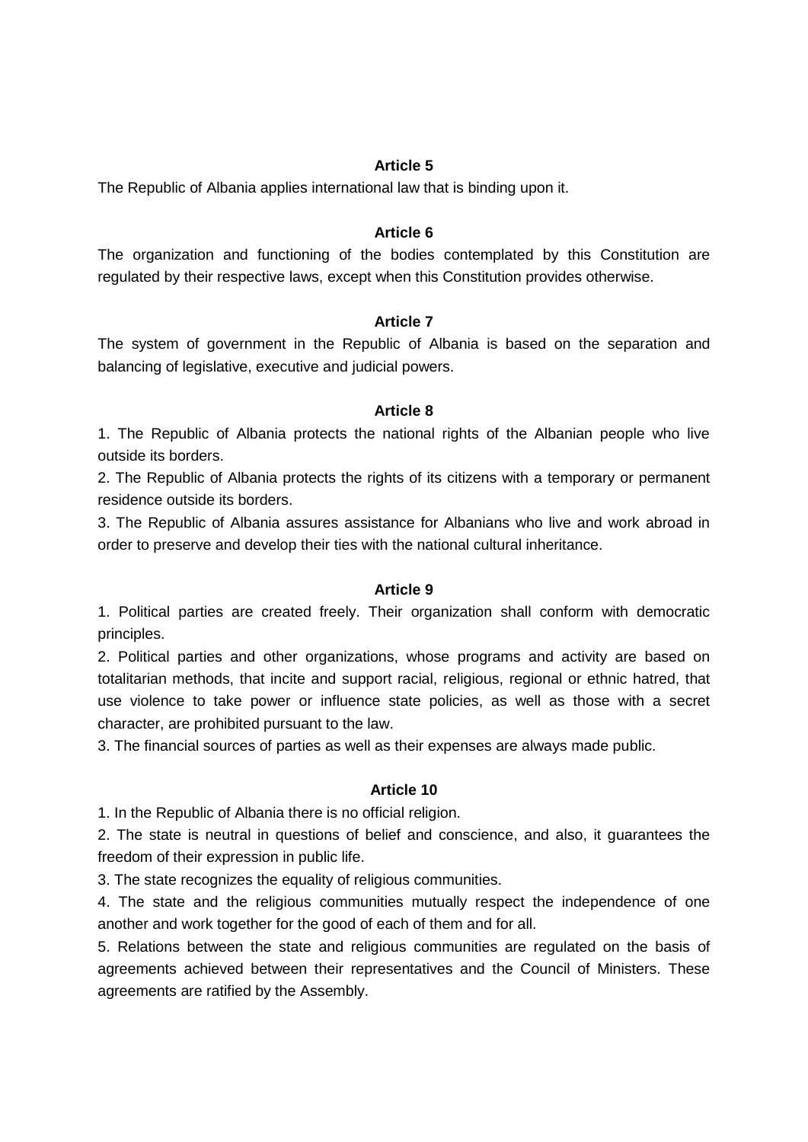The Republic of Albania applies international law that is binding upon it.

#### **Article 6**

The organization and functioning of the bodies contemplated by this Constitution are regulated by their respective laws, except when this Constitution provides otherwise.

#### **Article 7**

The system of government in the Republic of Albania is based on the separation and balancing of legislative, executive and judicial powers.

### **Article 8**

1. The Republic of Albania protects the national rights of the Albanian people who live outside its borders.

2. The Republic of Albania protects the rights of its citizens with a temporary or permanent residence outside its borders.

3. The Republic of Albania assures assistance for Albanians who live and work abroad in order to preserve and develop their ties with the national cultural inheritance.

#### **Article 9**

1. Political parties are created freely. Their organization shall conform with democratic principles.

2. Political parties and other organizations, whose programs and activity are based on totalitarian methods, that incite and support racial, religious, regional or ethnic hatred, that use violence to take power or influence state policies, as well as those with a secret character, are prohibited pursuant to the law.

3. The financial sources of parties as well as their expenses are always made public.

#### **Article 10**

1. In the Republic of Albania there is no official religion.

2. The state is neutral in questions of belief and conscience, and also, it guarantees the freedom of their expression in public life.

3. The state recognizes the equality of religious communities.

4. The state and the religious communities mutually respect the independence of one another and work together for the good of each of them and for all.

5. Relations between the state and religious communities are regulated on the basis of agreements achieved between their representatives and the Council of Ministers. These agreements are ratified by the Assembly.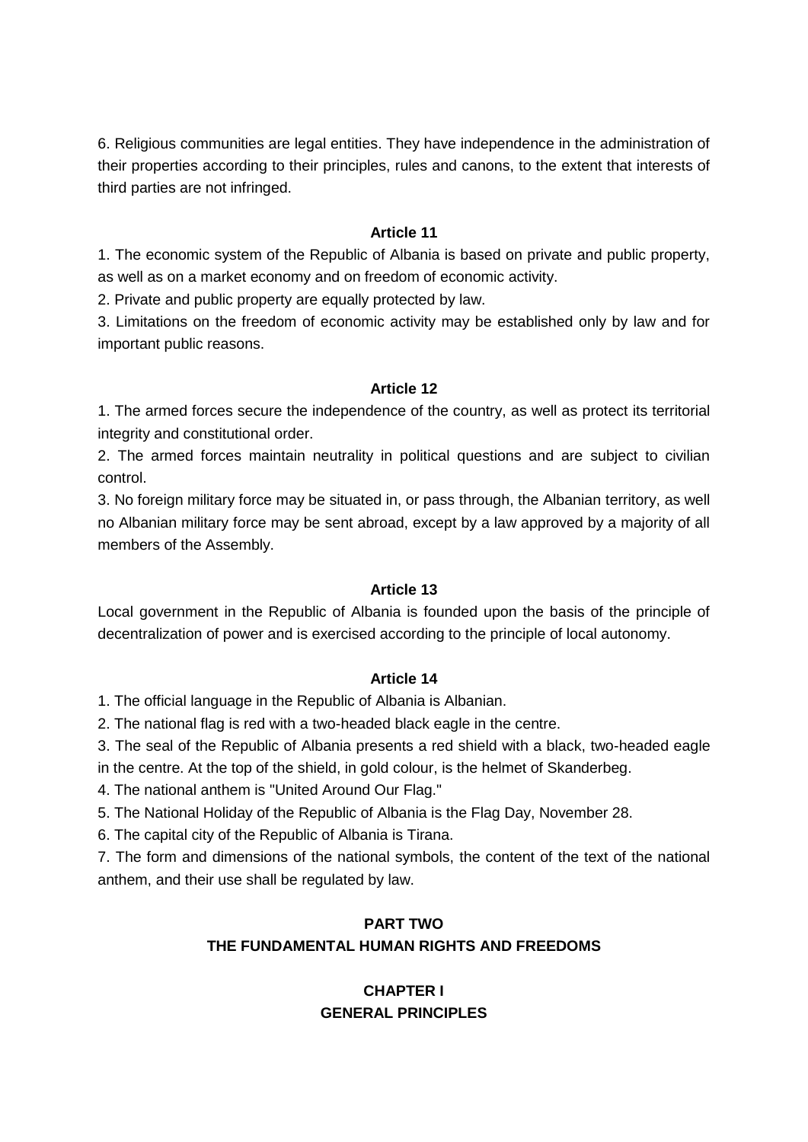6. Religious communities are legal entities. They have independence in the administration of their properties according to their principles, rules and canons, to the extent that interests of third parties are not infringed.

### **Article 11**

1. The economic system of the Republic of Albania is based on private and public property, as well as on a market economy and on freedom of economic activity.

2. Private and public property are equally protected by law.

3. Limitations on the freedom of economic activity may be established only by law and for important public reasons.

### **Article 12**

1. The armed forces secure the independence of the country, as well as protect its territorial integrity and constitutional order.

2. The armed forces maintain neutrality in political questions and are subject to civilian control.

3. No foreign military force may be situated in, or pass through, the Albanian territory, as well no Albanian military force may be sent abroad, except by a law approved by a majority of all members of the Assembly.

### **Article 13**

Local government in the Republic of Albania is founded upon the basis of the principle of decentralization of power and is exercised according to the principle of local autonomy.

### **Article 14**

1. The official language in the Republic of Albania is Albanian.

2. The national flag is red with a two-headed black eagle in the centre.

3. The seal of the Republic of Albania presents a red shield with a black, two-headed eagle

in the centre. At the top of the shield, in gold colour, is the helmet of Skanderbeg.

4. The national anthem is "United Around Our Flag."

5. The National Holiday of the Republic of Albania is the Flag Day, November 28.

6. The capital city of the Republic of Albania is Tirana.

7. The form and dimensions of the national symbols, the content of the text of the national anthem, and their use shall be regulated by law.

# **PART TWO**

# **THE FUNDAMENTAL HUMAN RIGHTS AND FREEDOMS**

# **CHAPTER I GENERAL PRINCIPLES**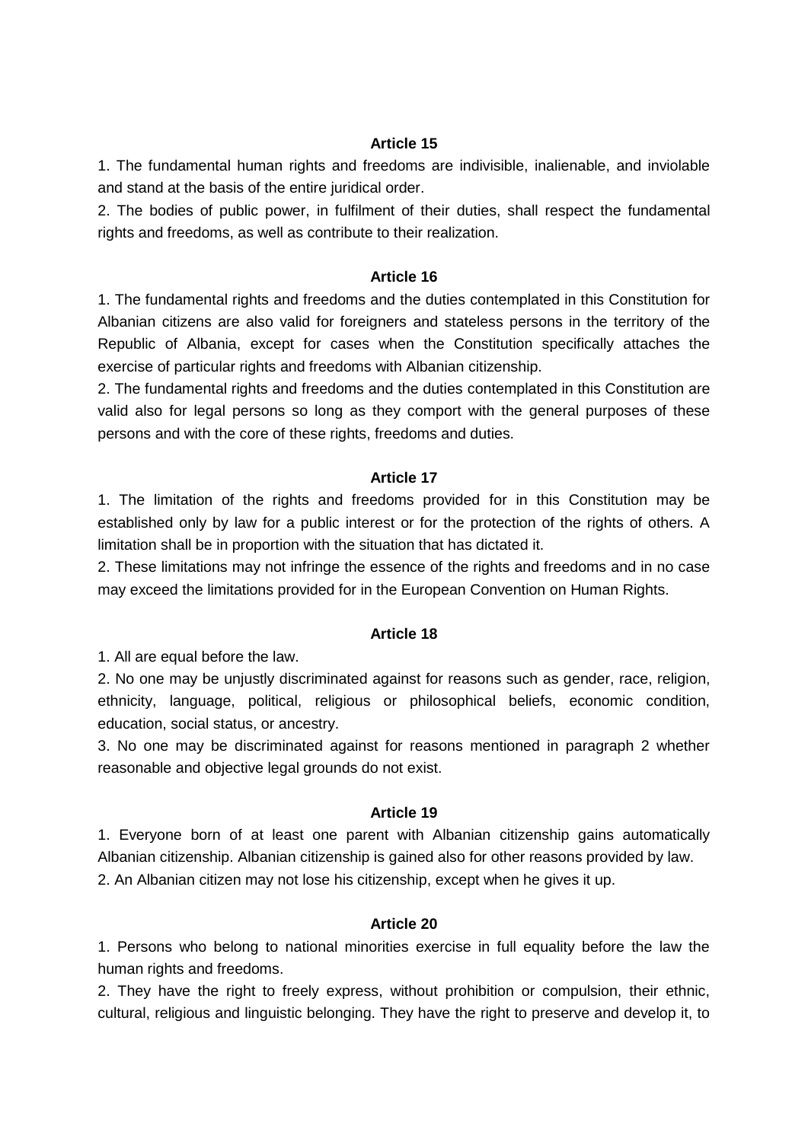1. The fundamental human rights and freedoms are indivisible, inalienable, and inviolable and stand at the basis of the entire juridical order.

2. The bodies of public power, in fulfilment of their duties, shall respect the fundamental rights and freedoms, as well as contribute to their realization.

#### **Article 16**

1. The fundamental rights and freedoms and the duties contemplated in this Constitution for Albanian citizens are also valid for foreigners and stateless persons in the territory of the Republic of Albania, except for cases when the Constitution specifically attaches the exercise of particular rights and freedoms with Albanian citizenship.

2. The fundamental rights and freedoms and the duties contemplated in this Constitution are valid also for legal persons so long as they comport with the general purposes of these persons and with the core of these rights, freedoms and duties.

### **Article 17**

1. The limitation of the rights and freedoms provided for in this Constitution may be established only by law for a public interest or for the protection of the rights of others. A limitation shall be in proportion with the situation that has dictated it.

2. These limitations may not infringe the essence of the rights and freedoms and in no case may exceed the limitations provided for in the European Convention on Human Rights.

### **Article 18**

1. All are equal before the law.

2. No one may be unjustly discriminated against for reasons such as gender, race, religion, ethnicity, language, political, religious or philosophical beliefs, economic condition, education, social status, or ancestry.

3. No one may be discriminated against for reasons mentioned in paragraph 2 whether reasonable and objective legal grounds do not exist.

#### **Article 19**

1. Everyone born of at least one parent with Albanian citizenship gains automatically Albanian citizenship. Albanian citizenship is gained also for other reasons provided by law. 2. An Albanian citizen may not lose his citizenship, except when he gives it up.

### **Article 20**

1. Persons who belong to national minorities exercise in full equality before the law the human rights and freedoms.

2. They have the right to freely express, without prohibition or compulsion, their ethnic, cultural, religious and linguistic belonging. They have the right to preserve and develop it, to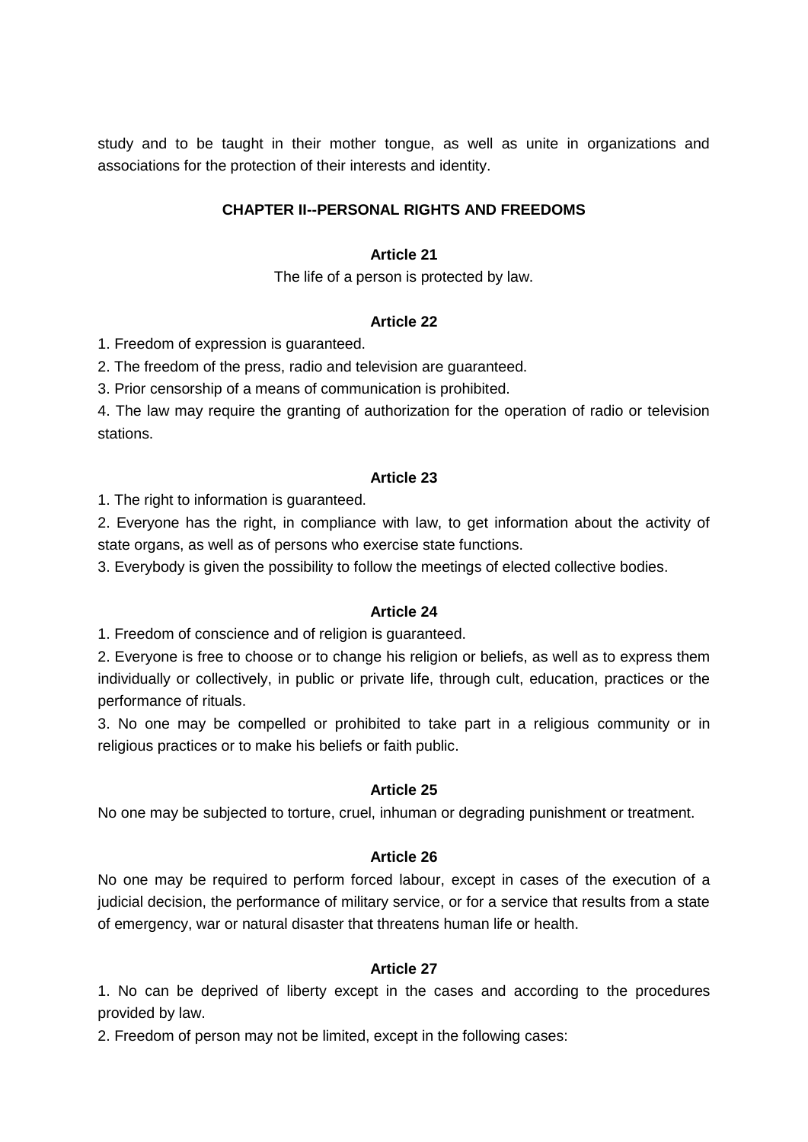study and to be taught in their mother tongue, as well as unite in organizations and associations for the protection of their interests and identity.

### **CHAPTER II--PERSONAL RIGHTS AND FREEDOMS**

### **Article 21**

The life of a person is protected by law.

### **Article 22**

1. Freedom of expression is guaranteed.

2. The freedom of the press, radio and television are guaranteed.

3. Prior censorship of a means of communication is prohibited.

4. The law may require the granting of authorization for the operation of radio or television stations.

### **Article 23**

1. The right to information is guaranteed.

2. Everyone has the right, in compliance with law, to get information about the activity of state organs, as well as of persons who exercise state functions.

3. Everybody is given the possibility to follow the meetings of elected collective bodies.

### **Article 24**

1. Freedom of conscience and of religion is guaranteed.

2. Everyone is free to choose or to change his religion or beliefs, as well as to express them individually or collectively, in public or private life, through cult, education, practices or the performance of rituals.

3. No one may be compelled or prohibited to take part in a religious community or in religious practices or to make his beliefs or faith public.

### **Article 25**

No one may be subjected to torture, cruel, inhuman or degrading punishment or treatment.

### **Article 26**

No one may be required to perform forced labour, except in cases of the execution of a judicial decision, the performance of military service, or for a service that results from a state of emergency, war or natural disaster that threatens human life or health.

### **Article 27**

1. No can be deprived of liberty except in the cases and according to the procedures provided by law.

2. Freedom of person may not be limited, except in the following cases: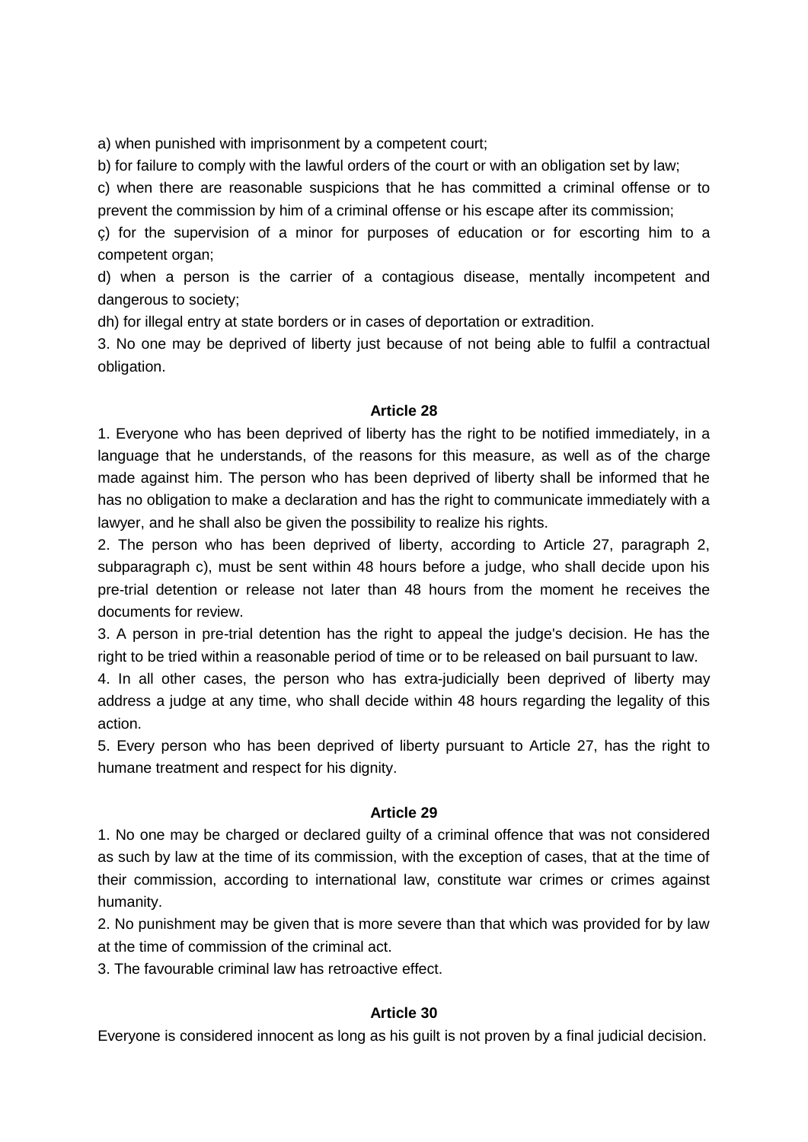a) when punished with imprisonment by a competent court;

b) for failure to comply with the lawful orders of the court or with an obligation set by law;

c) when there are reasonable suspicions that he has committed a criminal offense or to prevent the commission by him of a criminal offense or his escape after its commission;

ç) for the supervision of a minor for purposes of education or for escorting him to a competent organ;

d) when a person is the carrier of a contagious disease, mentally incompetent and dangerous to society;

dh) for illegal entry at state borders or in cases of deportation or extradition.

3. No one may be deprived of liberty just because of not being able to fulfil a contractual obligation.

### **Article 28**

1. Everyone who has been deprived of liberty has the right to be notified immediately, in a language that he understands, of the reasons for this measure, as well as of the charge made against him. The person who has been deprived of liberty shall be informed that he has no obligation to make a declaration and has the right to communicate immediately with a lawyer, and he shall also be given the possibility to realize his rights.

2. The person who has been deprived of liberty, according to Article 27, paragraph 2, subparagraph c), must be sent within 48 hours before a judge, who shall decide upon his pre-trial detention or release not later than 48 hours from the moment he receives the documents for review.

3. A person in pre-trial detention has the right to appeal the judge's decision. He has the right to be tried within a reasonable period of time or to be released on bail pursuant to law.

4. In all other cases, the person who has extra-judicially been deprived of liberty may address a judge at any time, who shall decide within 48 hours regarding the legality of this action.

5. Every person who has been deprived of liberty pursuant to Article 27, has the right to humane treatment and respect for his dignity.

### **Article 29**

1. No one may be charged or declared guilty of a criminal offence that was not considered as such by law at the time of its commission, with the exception of cases, that at the time of their commission, according to international law, constitute war crimes or crimes against humanity.

2. No punishment may be given that is more severe than that which was provided for by law at the time of commission of the criminal act.

3. The favourable criminal law has retroactive effect.

### **Article 30**

Everyone is considered innocent as long as his guilt is not proven by a final judicial decision.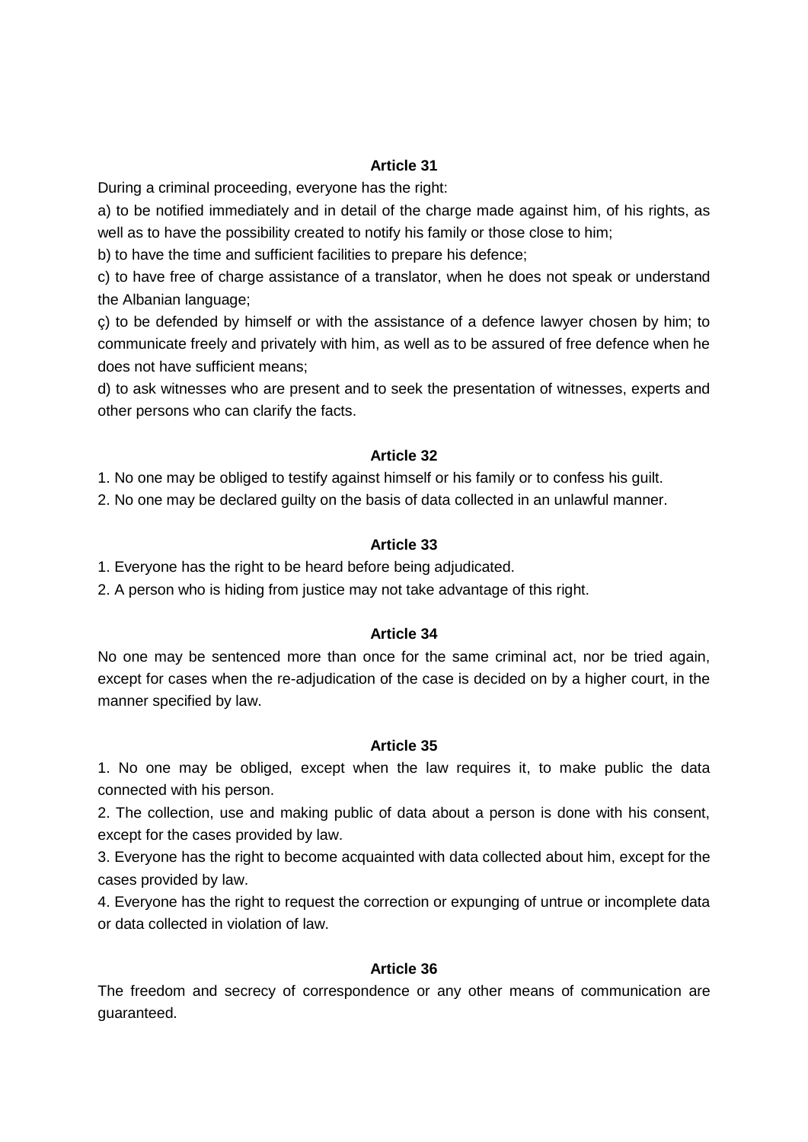During a criminal proceeding, everyone has the right:

a) to be notified immediately and in detail of the charge made against him, of his rights, as well as to have the possibility created to notify his family or those close to him;

b) to have the time and sufficient facilities to prepare his defence;

c) to have free of charge assistance of a translator, when he does not speak or understand the Albanian language;

ç) to be defended by himself or with the assistance of a defence lawyer chosen by him; to communicate freely and privately with him, as well as to be assured of free defence when he does not have sufficient means;

d) to ask witnesses who are present and to seek the presentation of witnesses, experts and other persons who can clarify the facts.

### **Article 32**

1. No one may be obliged to testify against himself or his family or to confess his guilt.

2. No one may be declared guilty on the basis of data collected in an unlawful manner.

### **Article 33**

1. Everyone has the right to be heard before being adjudicated.

2. A person who is hiding from justice may not take advantage of this right.

### **Article 34**

No one may be sentenced more than once for the same criminal act, nor be tried again, except for cases when the re-adjudication of the case is decided on by a higher court, in the manner specified by law.

### **Article 35**

1. No one may be obliged, except when the law requires it, to make public the data connected with his person.

2. The collection, use and making public of data about a person is done with his consent, except for the cases provided by law.

3. Everyone has the right to become acquainted with data collected about him, except for the cases provided by law.

4. Everyone has the right to request the correction or expunging of untrue or incomplete data or data collected in violation of law.

### **Article 36**

The freedom and secrecy of correspondence or any other means of communication are guaranteed.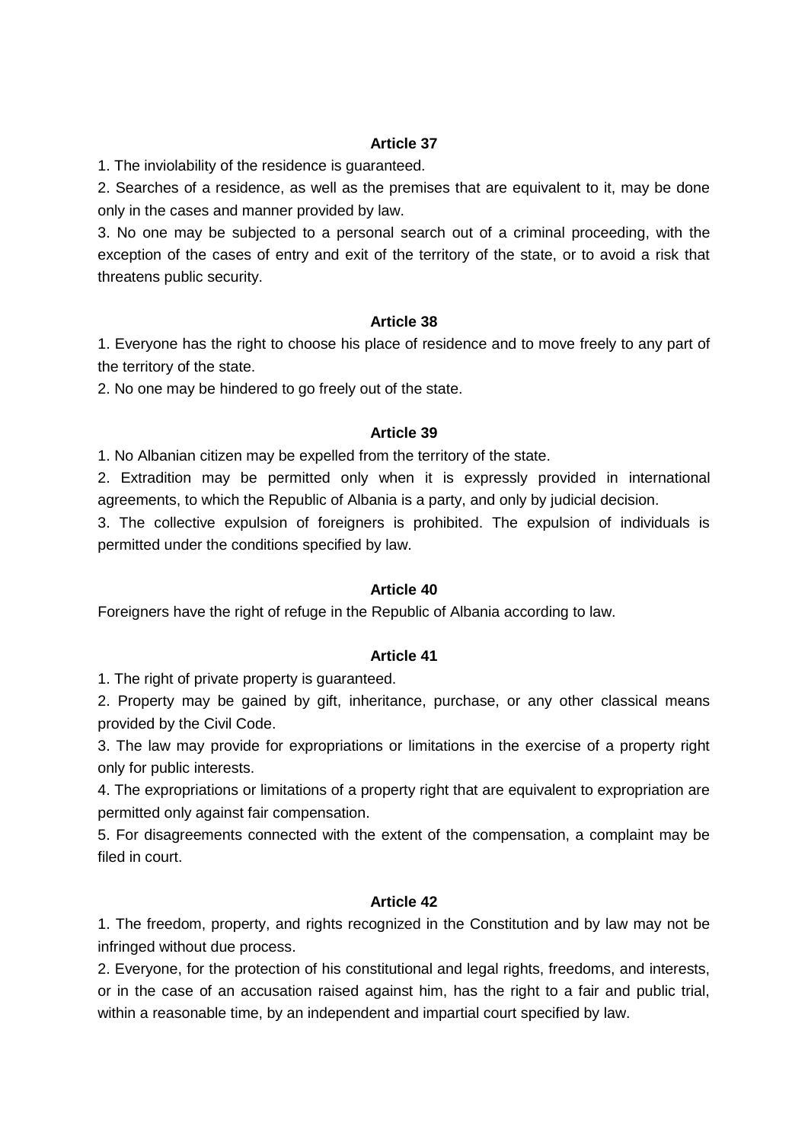1. The inviolability of the residence is guaranteed.

2. Searches of a residence, as well as the premises that are equivalent to it, may be done only in the cases and manner provided by law.

3. No one may be subjected to a personal search out of a criminal proceeding, with the exception of the cases of entry and exit of the territory of the state, or to avoid a risk that threatens public security.

### **Article 38**

1. Everyone has the right to choose his place of residence and to move freely to any part of the territory of the state.

2. No one may be hindered to go freely out of the state.

### **Article 39**

1. No Albanian citizen may be expelled from the territory of the state.

2. Extradition may be permitted only when it is expressly provided in international agreements, to which the Republic of Albania is a party, and only by judicial decision.

3. The collective expulsion of foreigners is prohibited. The expulsion of individuals is permitted under the conditions specified by law.

### **Article 40**

Foreigners have the right of refuge in the Republic of Albania according to law.

### **Article 41**

1. The right of private property is guaranteed.

2. Property may be gained by gift, inheritance, purchase, or any other classical means provided by the Civil Code.

3. The law may provide for expropriations or limitations in the exercise of a property right only for public interests.

4. The expropriations or limitations of a property right that are equivalent to expropriation are permitted only against fair compensation.

5. For disagreements connected with the extent of the compensation, a complaint may be filed in court.

### **Article 42**

1. The freedom, property, and rights recognized in the Constitution and by law may not be infringed without due process.

2. Everyone, for the protection of his constitutional and legal rights, freedoms, and interests, or in the case of an accusation raised against him, has the right to a fair and public trial, within a reasonable time, by an independent and impartial court specified by law.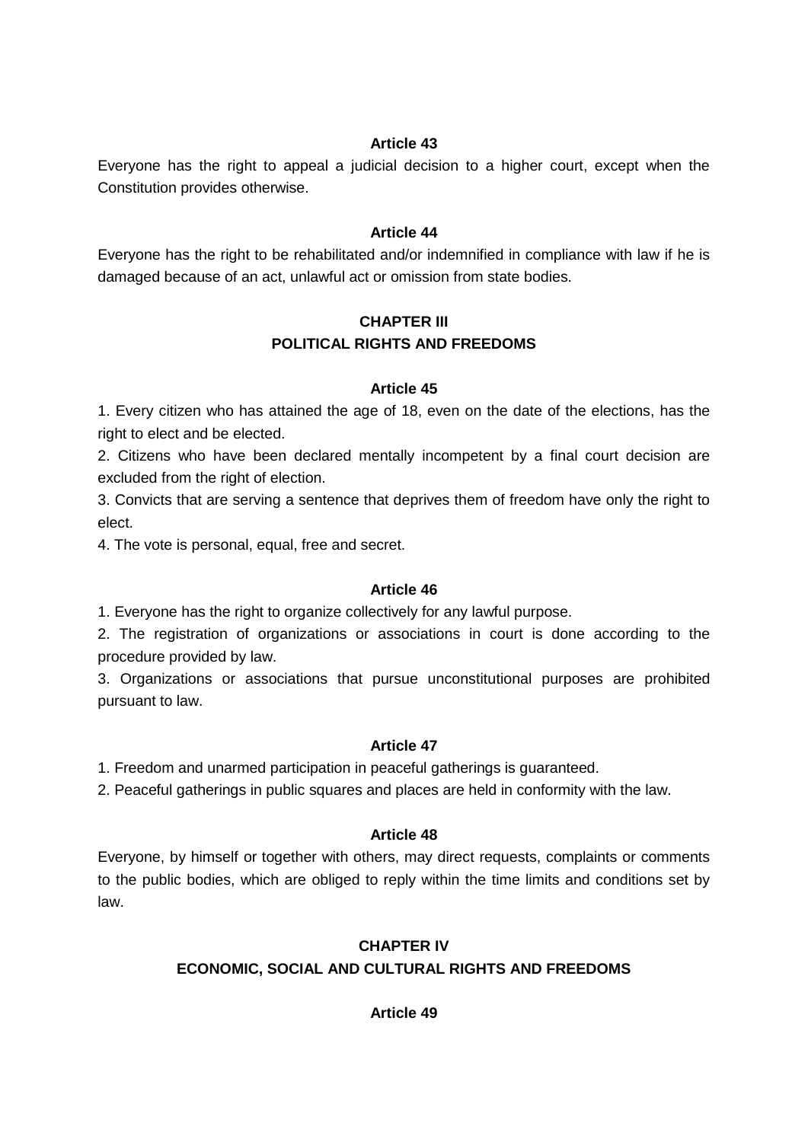Everyone has the right to appeal a judicial decision to a higher court, except when the Constitution provides otherwise.

### **Article 44**

Everyone has the right to be rehabilitated and/or indemnified in compliance with law if he is damaged because of an act, unlawful act or omission from state bodies.

# **CHAPTER III POLITICAL RIGHTS AND FREEDOMS**

### **Article 45**

1. Every citizen who has attained the age of 18, even on the date of the elections, has the right to elect and be elected.

2. Citizens who have been declared mentally incompetent by a final court decision are excluded from the right of election.

3. Convicts that are serving a sentence that deprives them of freedom have only the right to elect.

4. The vote is personal, equal, free and secret.

### **Article 46**

1. Everyone has the right to organize collectively for any lawful purpose.

2. The registration of organizations or associations in court is done according to the procedure provided by law.

3. Organizations or associations that pursue unconstitutional purposes are prohibited pursuant to law.

### **Article 47**

1. Freedom and unarmed participation in peaceful gatherings is guaranteed.

2. Peaceful gatherings in public squares and places are held in conformity with the law.

### **Article 48**

Everyone, by himself or together with others, may direct requests, complaints or comments to the public bodies, which are obliged to reply within the time limits and conditions set by law.

### **CHAPTER IV**

### **ECONOMIC, SOCIAL AND CULTURAL RIGHTS AND FREEDOMS**

**Article 49**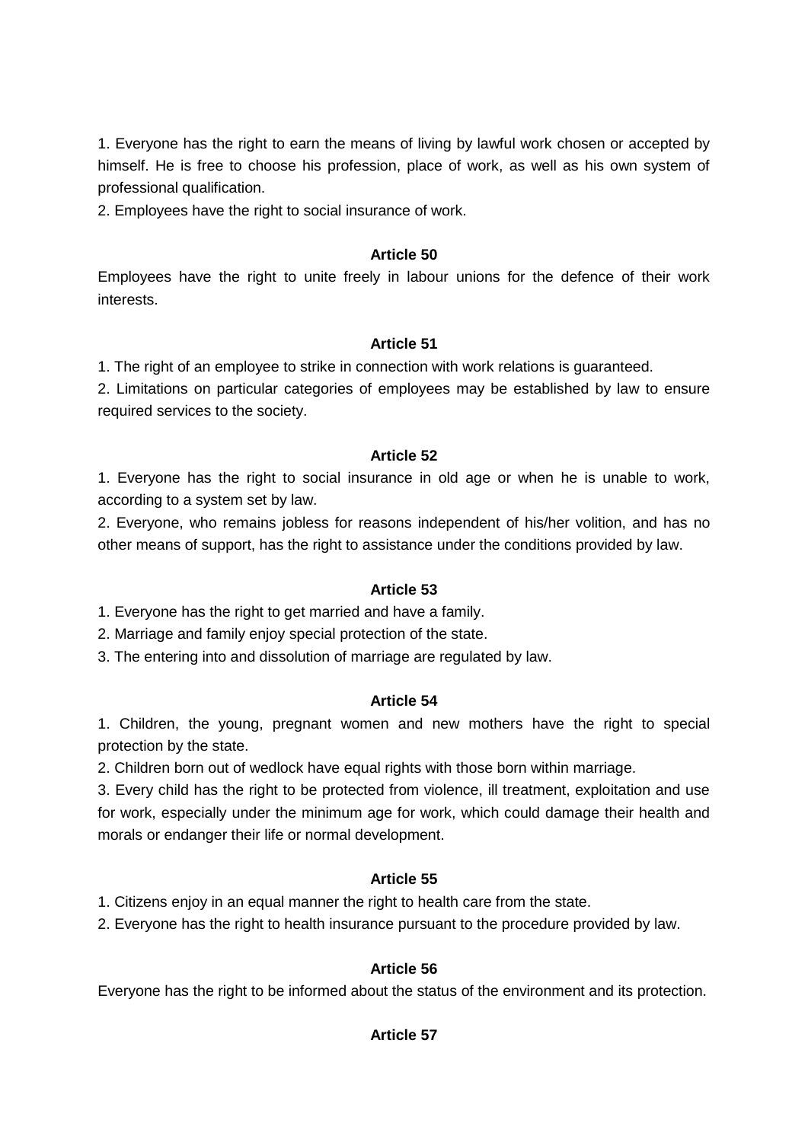1. Everyone has the right to earn the means of living by lawful work chosen or accepted by himself. He is free to choose his profession, place of work, as well as his own system of professional qualification.

2. Employees have the right to social insurance of work.

### **Article 50**

Employees have the right to unite freely in labour unions for the defence of their work interests.

### **Article 51**

1. The right of an employee to strike in connection with work relations is guaranteed.

2. Limitations on particular categories of employees may be established by law to ensure required services to the society.

### **Article 52**

1. Everyone has the right to social insurance in old age or when he is unable to work, according to a system set by law.

2. Everyone, who remains jobless for reasons independent of his/her volition, and has no other means of support, has the right to assistance under the conditions provided by law.

### **Article 53**

1. Everyone has the right to get married and have a family.

2. Marriage and family enjoy special protection of the state.

3. The entering into and dissolution of marriage are regulated by law.

# **Article 54**

1. Children, the young, pregnant women and new mothers have the right to special protection by the state.

2. Children born out of wedlock have equal rights with those born within marriage.

3. Every child has the right to be protected from violence, ill treatment, exploitation and use for work, especially under the minimum age for work, which could damage their health and morals or endanger their life or normal development.

# **Article 55**

1. Citizens enjoy in an equal manner the right to health care from the state.

2. Everyone has the right to health insurance pursuant to the procedure provided by law.

# **Article 56**

Everyone has the right to be informed about the status of the environment and its protection.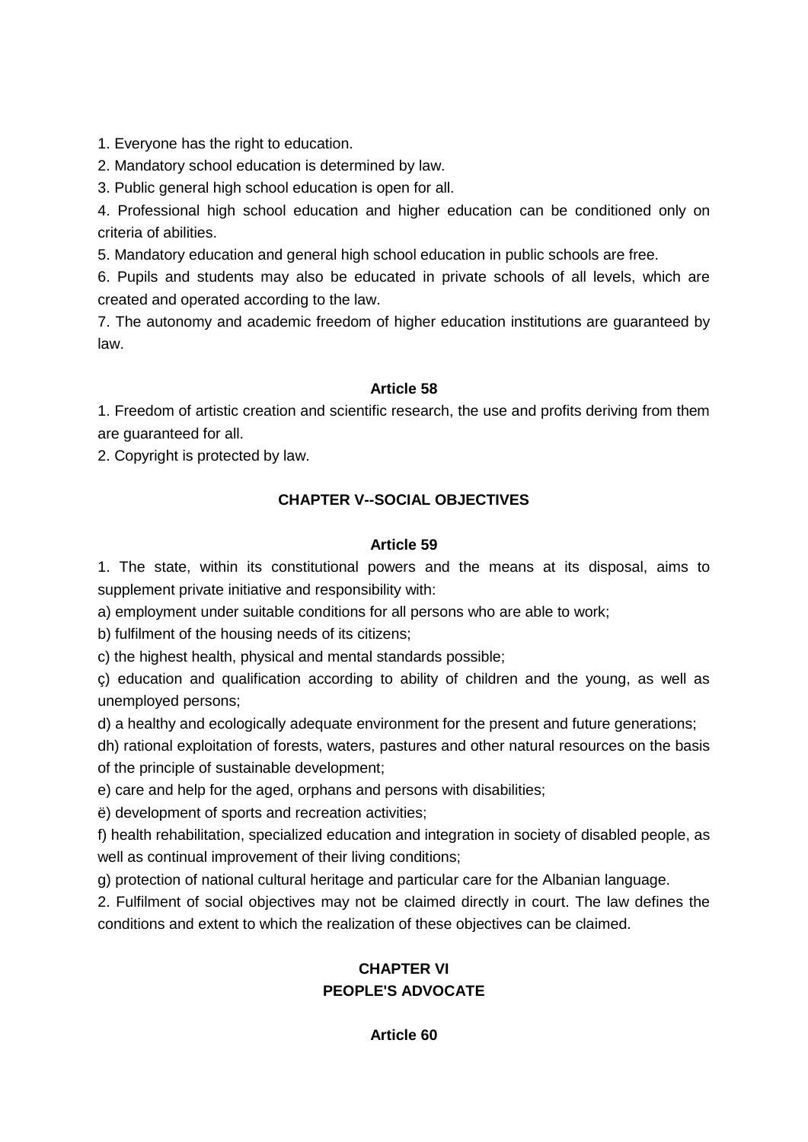1. Everyone has the right to education.

2. Mandatory school education is determined by law.

3. Public general high school education is open for all.

4. Professional high school education and higher education can be conditioned only on criteria of abilities.

5. Mandatory education and general high school education in public schools are free.

6. Pupils and students may also be educated in private schools of all levels, which are created and operated according to the law.

7. The autonomy and academic freedom of higher education institutions are guaranteed by law.

# **Article 58**

1. Freedom of artistic creation and scientific research, the use and profits deriving from them are guaranteed for all.

2. Copyright is protected by law.

# **CHAPTER V--SOCIAL OBJECTIVES**

### **Article 59**

1. The state, within its constitutional powers and the means at its disposal, aims to supplement private initiative and responsibility with:

a) employment under suitable conditions for all persons who are able to work;

b) fulfilment of the housing needs of its citizens;

c) the highest health, physical and mental standards possible;

ç) education and qualification according to ability of children and the young, as well as unemployed persons;

d) a healthy and ecologically adequate environment for the present and future generations;

dh) rational exploitation of forests, waters, pastures and other natural resources on the basis of the principle of sustainable development;

e) care and help for the aged, orphans and persons with disabilities;

ë) development of sports and recreation activities;

f) health rehabilitation, specialized education and integration in society of disabled people, as well as continual improvement of their living conditions;

g) protection of national cultural heritage and particular care for the Albanian language.

2. Fulfilment of social objectives may not be claimed directly in court. The law defines the conditions and extent to which the realization of these objectives can be claimed.

# **CHAPTER VI PEOPLE'S ADVOCATE**

**Article 60**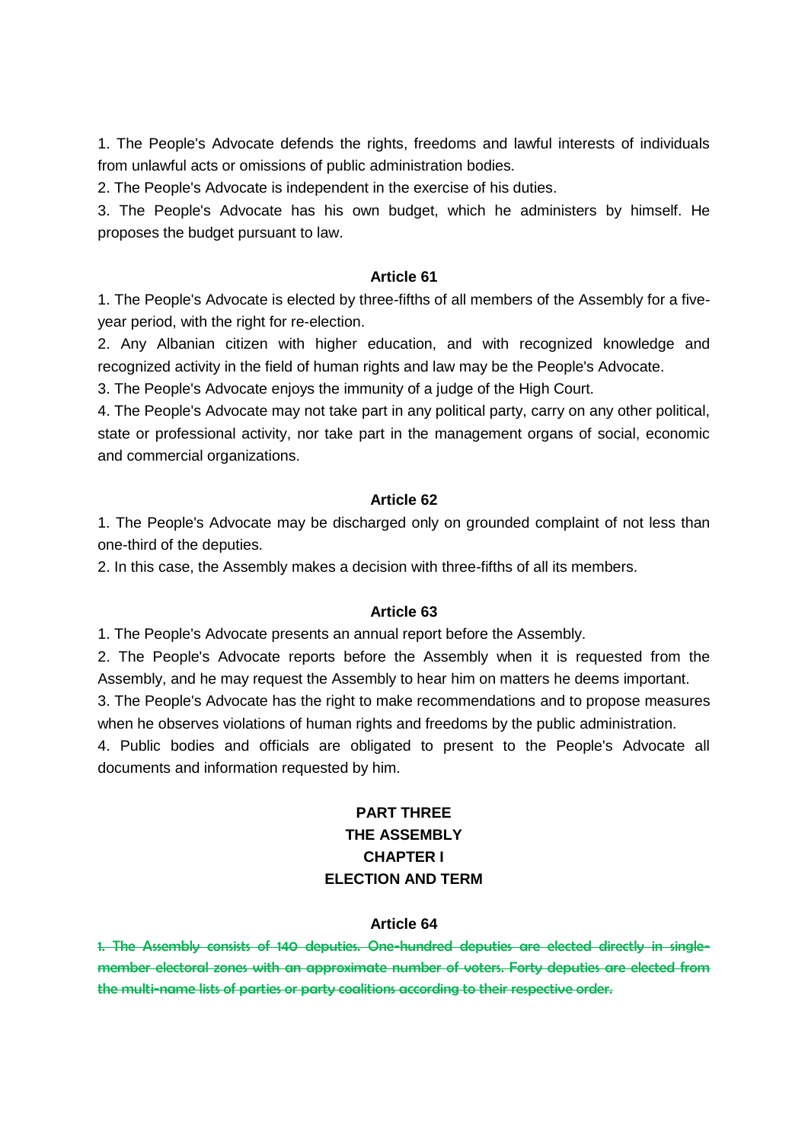1. The People's Advocate defends the rights, freedoms and lawful interests of individuals from unlawful acts or omissions of public administration bodies.

2. The People's Advocate is independent in the exercise of his duties.

3. The People's Advocate has his own budget, which he administers by himself. He proposes the budget pursuant to law.

#### **Article 61**

1. The People's Advocate is elected by three-fifths of all members of the Assembly for a fiveyear period, with the right for re-election.

2. Any Albanian citizen with higher education, and with recognized knowledge and recognized activity in the field of human rights and law may be the People's Advocate.

3. The People's Advocate enjoys the immunity of a judge of the High Court.

4. The People's Advocate may not take part in any political party, carry on any other political, state or professional activity, nor take part in the management organs of social, economic and commercial organizations.

### **Article 62**

1. The People's Advocate may be discharged only on grounded complaint of not less than one-third of the deputies.

2. In this case, the Assembly makes a decision with three-fifths of all its members.

#### **Article 63**

1. The People's Advocate presents an annual report before the Assembly.

2. The People's Advocate reports before the Assembly when it is requested from the Assembly, and he may request the Assembly to hear him on matters he deems important.

3. The People's Advocate has the right to make recommendations and to propose measures when he observes violations of human rights and freedoms by the public administration.

4. Public bodies and officials are obligated to present to the People's Advocate all documents and information requested by him.

# **PART THREE THE ASSEMBLY CHAPTER I ELECTION AND TERM**

#### **Article 64**

1. The Assembly consists of 140 deputies. One-hundred deputies are elected directly in singlemember electoral zones with an approximate number of voters. Forty deputies are elected from the multi-name lists of parties or party coalitions according to their respective order.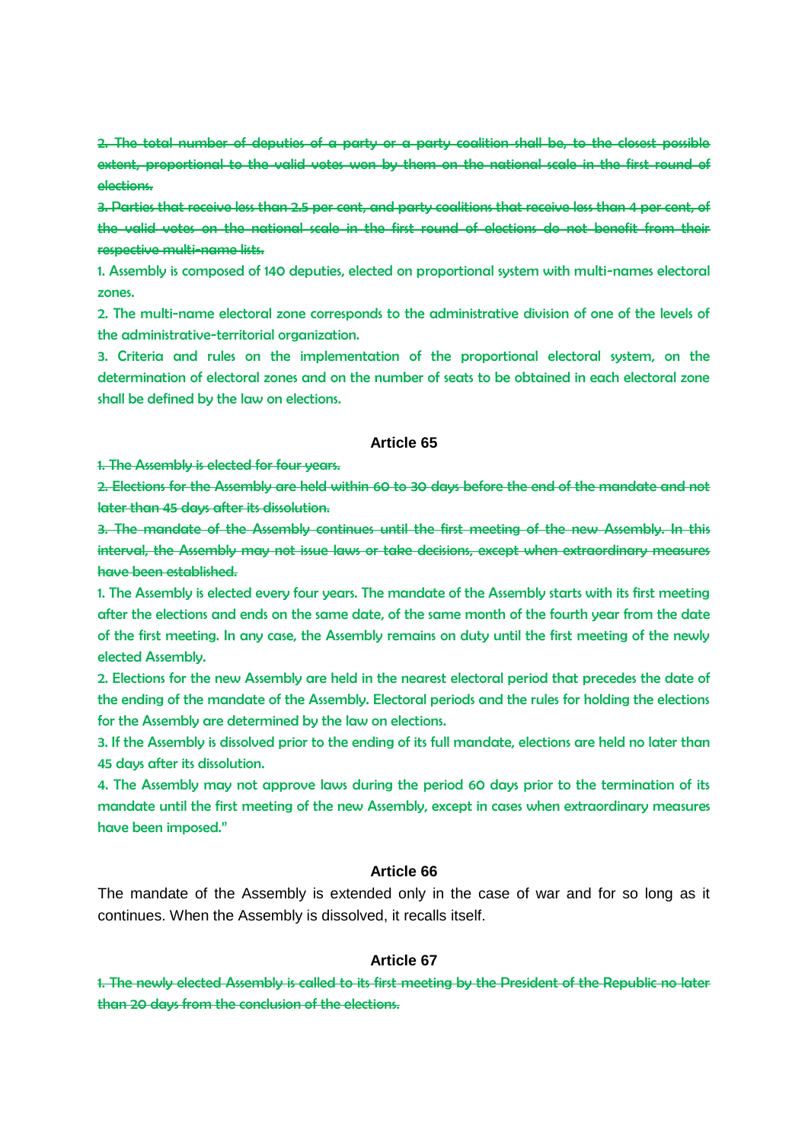2. The total number of deputies of a party or a party coalition shall be, to the closest possible extent, proportional to the valid votes won by them on the national scale in the first round of elections.

3. Parties that receive less than 2.5 per cent, and party coalitions that receive less than 4 per cent, of the valid votes on the national scale in the first round of elections do not benefit from their respective multi-name lists.

1. Assembly is composed of 140 deputies, elected on proportional system with multi-names electoral zones.

2. The multi-name electoral zone corresponds to the administrative division of one of the levels of the administrative-territorial organization.

3. Criteria and rules on the implementation of the proportional electoral system, on the determination of electoral zones and on the number of seats to be obtained in each electoral zone shall be defined by the law on elections.

#### **Article 65**

1. The Assembly is elected for four years.

2. Elections for the Assembly are held within 60 to 30 days before the end of the mandate and not later than 45 days after its dissolution.

3. The mandate of the Assembly continues until the first meeting of the new Assembly. In this interval, the Assembly may not issue laws or take decisions, except when extraordinary measures have been established.

1. The Assembly is elected every four years. The mandate of the Assembly starts with its first meeting after the elections and ends on the same date, of the same month of the fourth year from the date of the first meeting. In any case, the Assembly remains on duty until the first meeting of the newly elected Assembly.

2. Elections for the new Assembly are held in the nearest electoral period that precedes the date of the ending of the mandate of the Assembly. Electoral periods and the rules for holding the elections for the Assembly are determined by the law on elections.

3. If the Assembly is dissolved prior to the ending of its full mandate, elections are held no later than 45 days after its dissolution.

4. The Assembly may not approve laws during the period 60 days prior to the termination of its mandate until the first meeting of the new Assembly, except in cases when extraordinary measures have been imposed."

#### **Article 66**

The mandate of the Assembly is extended only in the case of war and for so long as it continues. When the Assembly is dissolved, it recalls itself.

#### **Article 67**

1. The newly elected Assembly is called to its first meeting by the President of the Republic no later than 20 days from the conclusion of the elections.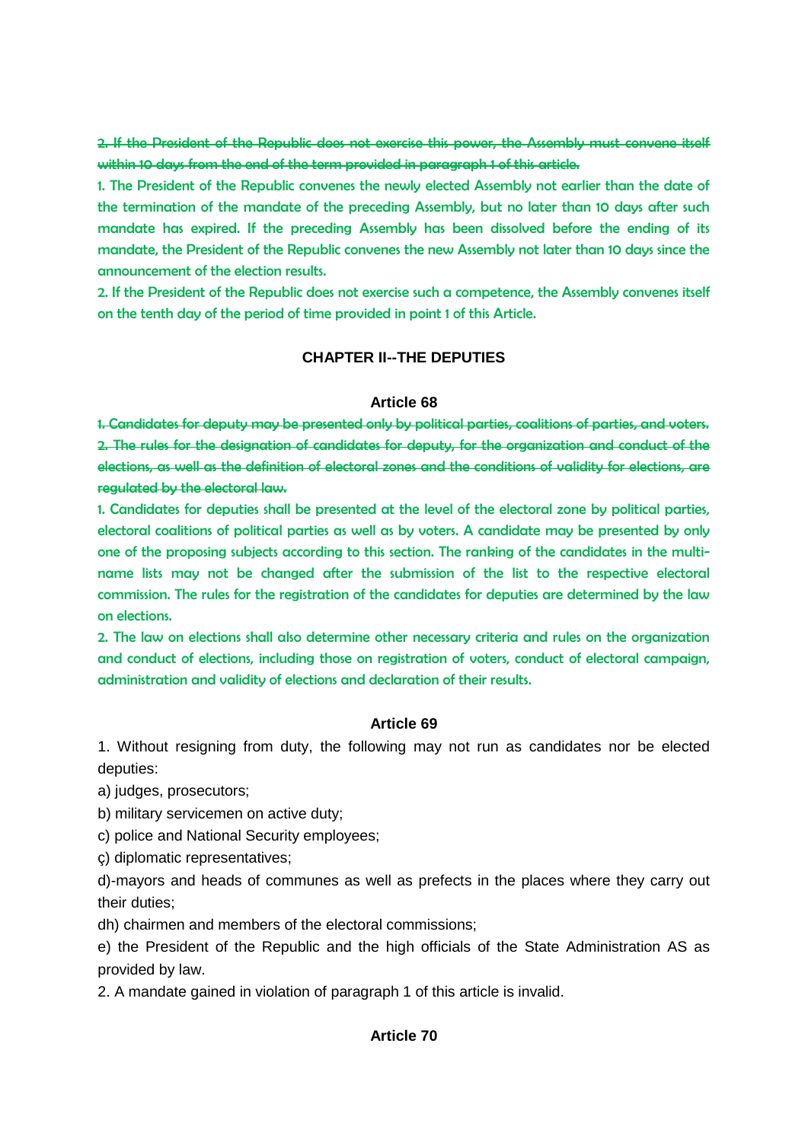2. If the President of the Republic does not exercise this power, the Assembly must convene itself within 10 days from the end of the term provided in paragraph 1 of this article.

1. The President of the Republic convenes the newly elected Assembly not earlier than the date of the termination of the mandate of the preceding Assembly, but no later than 10 days after such mandate has expired. If the preceding Assembly has been dissolved before the ending of its mandate, the President of the Republic convenes the new Assembly not later than 10 days since the announcement of the election results.

2. If the President of the Republic does not exercise such a competence, the Assembly convenes itself on the tenth day of the period of time provided in point 1 of this Article.

#### **CHAPTER II--THE DEPUTIES**

#### **Article 68**

1. Candidates for deputy may be presented only by political parties, coalitions of parties, and voters. 2. The rules for the designation of candidates for deputy, for the organization and conduct of the elections, as well as the definition of electoral zones and the conditions of validity for elections, are regulated by the electoral law.

1. Candidates for deputies shall be presented at the level of the electoral zone by political parties, electoral coalitions of political parties as well as by voters. A candidate may be presented by only one of the proposing subjects according to this section. The ranking of the candidates in the multiname lists may not be changed after the submission of the list to the respective electoral commission. The rules for the registration of the candidates for deputies are determined by the law on elections.

2. The law on elections shall also determine other necessary criteria and rules on the organization and conduct of elections, including those on registration of voters, conduct of electoral campaign, administration and validity of elections and declaration of their results.

#### **Article 69**

1. Without resigning from duty, the following may not run as candidates nor be elected deputies:

a) judges, prosecutors;

- b) military servicemen on active duty;
- c) police and National Security employees;
- ç) diplomatic representatives;

d)-mayors and heads of communes as well as prefects in the places where they carry out their duties;

dh) chairmen and members of the electoral commissions;

e) the President of the Republic and the high officials of the State Administration AS as provided by law.

2. A mandate gained in violation of paragraph 1 of this article is invalid.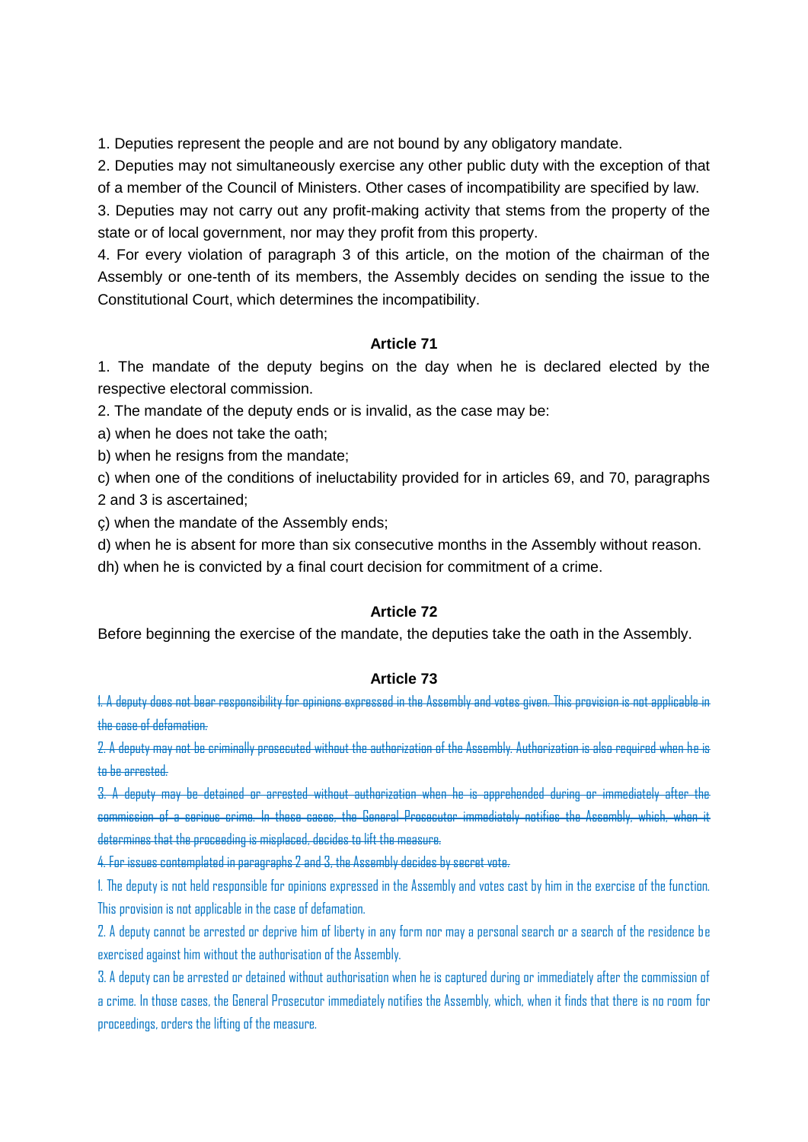1. Deputies represent the people and are not bound by any obligatory mandate.

2. Deputies may not simultaneously exercise any other public duty with the exception of that

of a member of the Council of Ministers. Other cases of incompatibility are specified by law.

3. Deputies may not carry out any profit-making activity that stems from the property of the state or of local government, nor may they profit from this property.

4. For every violation of paragraph 3 of this article, on the motion of the chairman of the Assembly or one-tenth of its members, the Assembly decides on sending the issue to the Constitutional Court, which determines the incompatibility.

### **Article 71**

1. The mandate of the deputy begins on the day when he is declared elected by the respective electoral commission.

2. The mandate of the deputy ends or is invalid, as the case may be:

a) when he does not take the oath;

b) when he resigns from the mandate;

c) when one of the conditions of ineluctability provided for in articles 69, and 70, paragraphs 2 and 3 is ascertained;

ç) when the mandate of the Assembly ends;

d) when he is absent for more than six consecutive months in the Assembly without reason.

dh) when he is convicted by a final court decision for commitment of a crime.

# **Article 72**

Before beginning the exercise of the mandate, the deputies take the oath in the Assembly.

### **Article 73**

1. A deputy does not bear responsibility for opinions expressed in the Assembly and votes given. This provision is not applicable in the case of defamation.

2. A deputy may not be criminally prosecuted without the authorization of the Assembly. Authorization is also required when he is to be arrested.

3. A deputy may be detained or arrested without authorization when he is apprehended during or immediately after the commission of a serious crime. In these cases, the General Prosecutor immediately notifies the Assembly, which, when it determines that the proceeding is misplaced, decides to lift the measure.

4. For issues contemplated in paragraphs 2 and 3, the Assembly decides by secret vote.

1. The deputy is not held responsible for opinions expressed in the Assembly and votes cast by him in the exercise of the function. This provision is not applicable in the case of defamation.

2. A deputy cannot be arrested or deprive him of liberty in any form nor may a personal search or a search of the residence be exercised against him without the authorisation of the Assembly.

3. A deputy can be arrested or detained without authorisation when he is captured during or immediately after the commission of a crime. In those cases, the General Prosecutor immediately notifies the Assembly, which, when it finds that there is no room for proceedings, orders the lifting of the measure.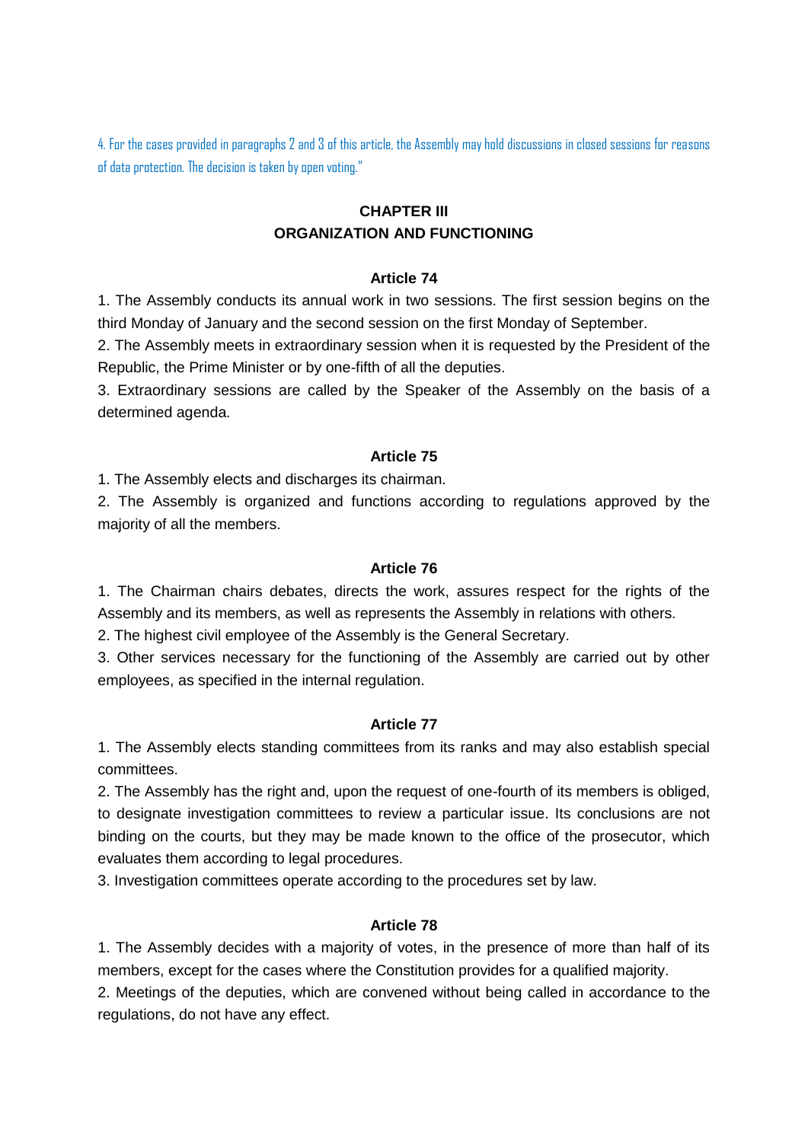4. For the cases provided in paragraphs 2 and 3 of this article, the Assembly may hold discussions in closed sessions for reasons of data protection. The decision is taken by open voting."

# **CHAPTER III ORGANIZATION AND FUNCTIONING**

#### **Article 74**

1. The Assembly conducts its annual work in two sessions. The first session begins on the third Monday of January and the second session on the first Monday of September.

2. The Assembly meets in extraordinary session when it is requested by the President of the Republic, the Prime Minister or by one-fifth of all the deputies.

3. Extraordinary sessions are called by the Speaker of the Assembly on the basis of a determined agenda.

#### **Article 75**

1. The Assembly elects and discharges its chairman.

2. The Assembly is organized and functions according to regulations approved by the majority of all the members.

#### **Article 76**

1. The Chairman chairs debates, directs the work, assures respect for the rights of the Assembly and its members, as well as represents the Assembly in relations with others.

2. The highest civil employee of the Assembly is the General Secretary.

3. Other services necessary for the functioning of the Assembly are carried out by other employees, as specified in the internal regulation.

### **Article 77**

1. The Assembly elects standing committees from its ranks and may also establish special committees.

2. The Assembly has the right and, upon the request of one-fourth of its members is obliged, to designate investigation committees to review a particular issue. Its conclusions are not binding on the courts, but they may be made known to the office of the prosecutor, which evaluates them according to legal procedures.

3. Investigation committees operate according to the procedures set by law.

### **Article 78**

1. The Assembly decides with a majority of votes, in the presence of more than half of its members, except for the cases where the Constitution provides for a qualified majority.

2. Meetings of the deputies, which are convened without being called in accordance to the regulations, do not have any effect.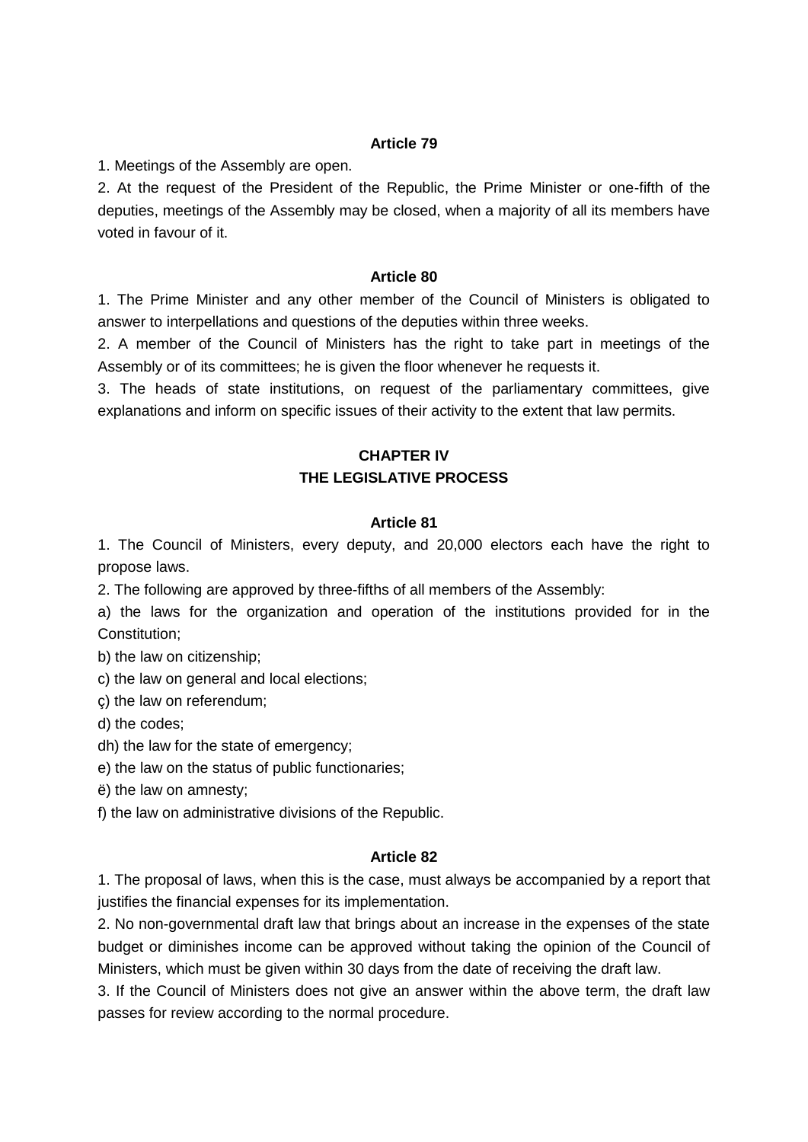1. Meetings of the Assembly are open.

2. At the request of the President of the Republic, the Prime Minister or one-fifth of the deputies, meetings of the Assembly may be closed, when a majority of all its members have voted in favour of it.

#### **Article 80**

1. The Prime Minister and any other member of the Council of Ministers is obligated to answer to interpellations and questions of the deputies within three weeks.

2. A member of the Council of Ministers has the right to take part in meetings of the Assembly or of its committees; he is given the floor whenever he requests it.

3. The heads of state institutions, on request of the parliamentary committees, give explanations and inform on specific issues of their activity to the extent that law permits.

# **CHAPTER IV THE LEGISLATIVE PROCESS**

#### **Article 81**

1. The Council of Ministers, every deputy, and 20,000 electors each have the right to propose laws.

2. The following are approved by three-fifths of all members of the Assembly:

a) the laws for the organization and operation of the institutions provided for in the Constitution;

b) the law on citizenship;

c) the law on general and local elections;

ç) the law on referendum;

d) the codes;

dh) the law for the state of emergency;

e) the law on the status of public functionaries;

ë) the law on amnesty;

f) the law on administrative divisions of the Republic.

### **Article 82**

1. The proposal of laws, when this is the case, must always be accompanied by a report that justifies the financial expenses for its implementation.

2. No non-governmental draft law that brings about an increase in the expenses of the state budget or diminishes income can be approved without taking the opinion of the Council of Ministers, which must be given within 30 days from the date of receiving the draft law.

3. If the Council of Ministers does not give an answer within the above term, the draft law passes for review according to the normal procedure.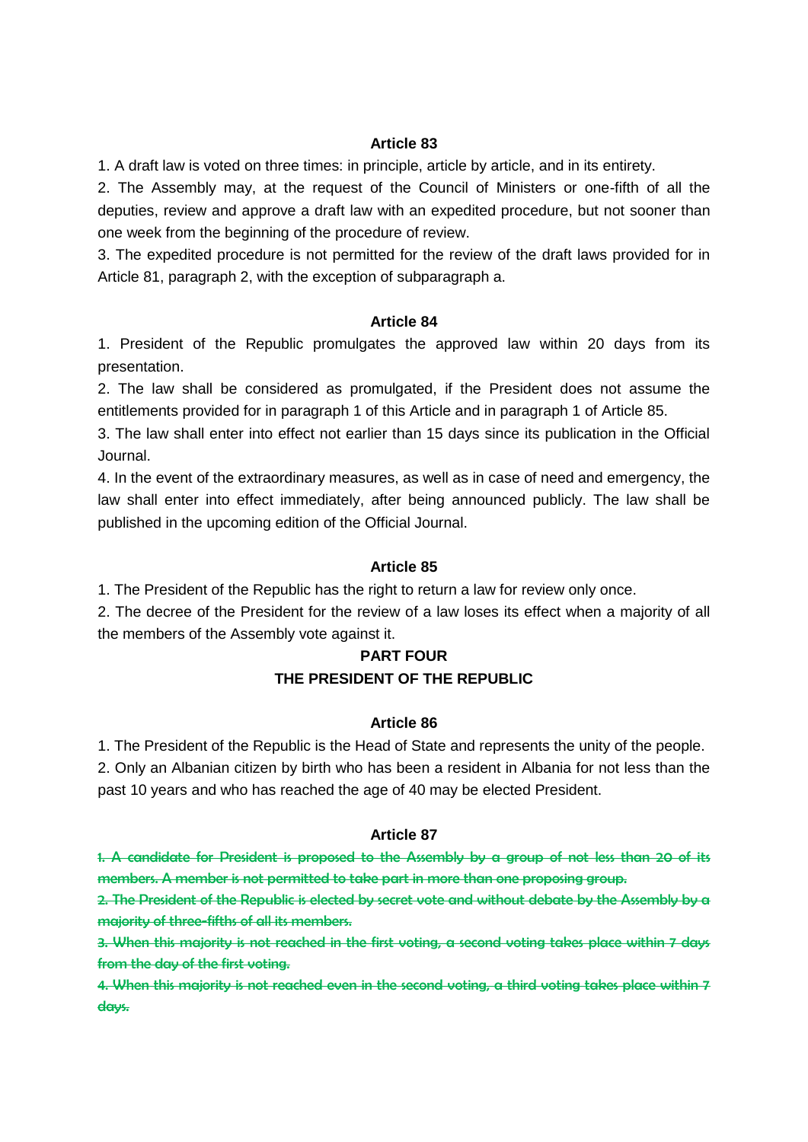1. A draft law is voted on three times: in principle, article by article, and in its entirety.

2. The Assembly may, at the request of the Council of Ministers or one-fifth of all the deputies, review and approve a draft law with an expedited procedure, but not sooner than one week from the beginning of the procedure of review.

3. The expedited procedure is not permitted for the review of the draft laws provided for in Article 81, paragraph 2, with the exception of subparagraph a.

### **Article 84**

1. President of the Republic promulgates the approved law within 20 days from its presentation.

2. The law shall be considered as promulgated, if the President does not assume the entitlements provided for in paragraph 1 of this Article and in paragraph 1 of Article 85.

3. The law shall enter into effect not earlier than 15 days since its publication in the Official Journal.

4. In the event of the extraordinary measures, as well as in case of need and emergency, the law shall enter into effect immediately, after being announced publicly. The law shall be published in the upcoming edition of the Official Journal.

### **Article 85**

1. The President of the Republic has the right to return a law for review only once.

2. The decree of the President for the review of a law loses its effect when a majority of all the members of the Assembly vote against it.

### **PART FOUR**

### **THE PRESIDENT OF THE REPUBLIC**

### **Article 86**

1. The President of the Republic is the Head of State and represents the unity of the people.

2. Only an Albanian citizen by birth who has been a resident in Albania for not less than the past 10 years and who has reached the age of 40 may be elected President.

### **Article 87**

1. A candidate for President is proposed to the Assembly by a group of not less than 20 of its members. A member is not permitted to take part in more than one proposing group.

2. The President of the Republic is elected by secret vote and without debate by the Assembly by a majority of three-fifths of all its members.

3. When this majority is not reached in the first voting, a second voting takes place within 7 days from the day of the first voting.

4. When this majority is not reached even in the second voting, a third voting takes place within 7 days.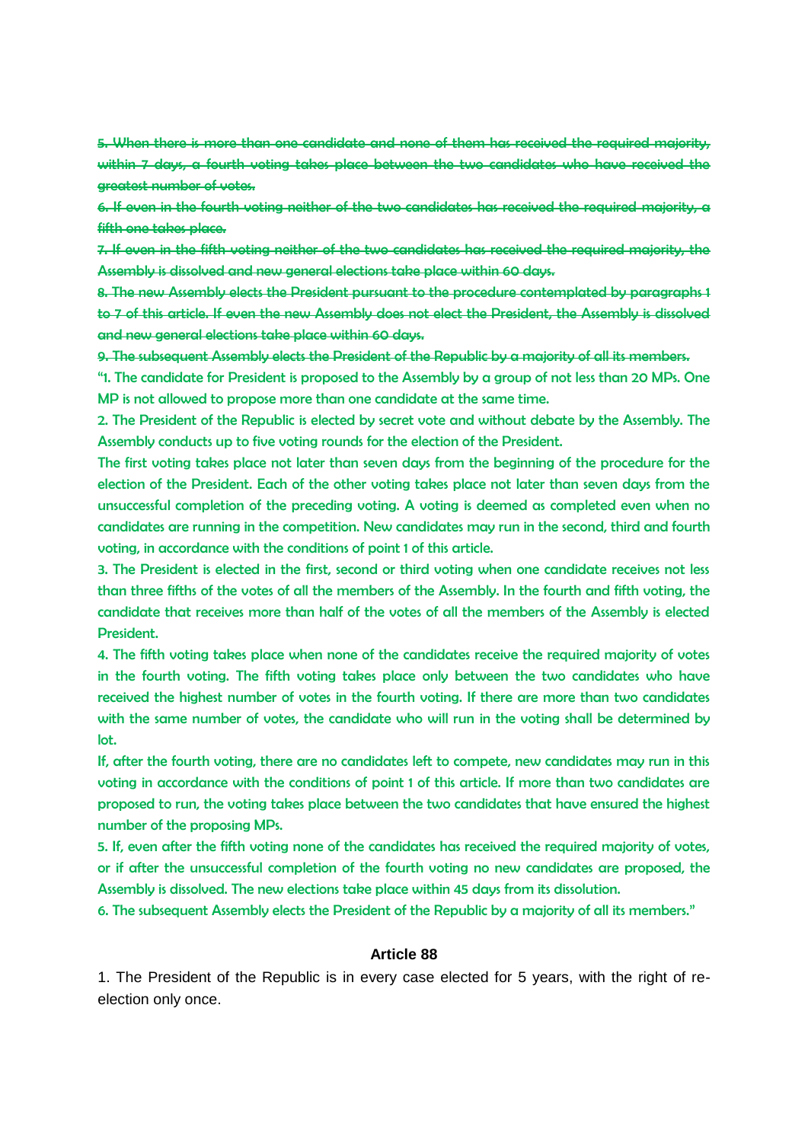5. When there is more than one candidate and none of them has received the required majority, within 7 days, a fourth voting takes place between the two candidates who have received the greatest number of votes.

6. If even in the fourth voting neither of the two candidates has received the required majority, a fifth one takes place.

7. If even in the fifth voting neither of the two candidates has received the required majority, the Assembly is dissolved and new general elections take place within 60 days.

8. The new Assembly elects the President pursuant to the procedure contemplated by paragraphs 1 to 7 of this article. If even the new Assembly does not elect the President, the Assembly is dissolved and new general elections take place within 60 days.

9. The subsequent Assembly elects the President of the Republic by a majority of all its members.

"1. The candidate for President is proposed to the Assembly by a group of not less than 20 MPs. One MP is not allowed to propose more than one candidate at the same time.

2. The President of the Republic is elected by secret vote and without debate by the Assembly. The Assembly conducts up to five voting rounds for the election of the President.

The first voting takes place not later than seven days from the beginning of the procedure for the election of the President. Each of the other voting takes place not later than seven days from the unsuccessful completion of the preceding voting. A voting is deemed as completed even when no candidates are running in the competition. New candidates may run in the second, third and fourth voting, in accordance with the conditions of point 1 of this article.

3. The President is elected in the first, second or third voting when one candidate receives not less than three fifths of the votes of all the members of the Assembly. In the fourth and fifth voting, the candidate that receives more than half of the votes of all the members of the Assembly is elected President.

4. The fifth voting takes place when none of the candidates receive the required majority of votes in the fourth voting. The fifth voting takes place only between the two candidates who have received the highest number of votes in the fourth voting. If there are more than two candidates with the same number of votes, the candidate who will run in the voting shall be determined by lot.

If, after the fourth voting, there are no candidates left to compete, new candidates may run in this voting in accordance with the conditions of point 1 of this article. If more than two candidates are proposed to run, the voting takes place between the two candidates that have ensured the highest number of the proposing MPs.

5. If, even after the fifth voting none of the candidates has received the required majority of votes, or if after the unsuccessful completion of the fourth voting no new candidates are proposed, the Assembly is dissolved. The new elections take place within 45 days from its dissolution.

6. The subsequent Assembly elects the President of the Republic by a majority of all its members."

#### **Article 88**

1. The President of the Republic is in every case elected for 5 years, with the right of reelection only once.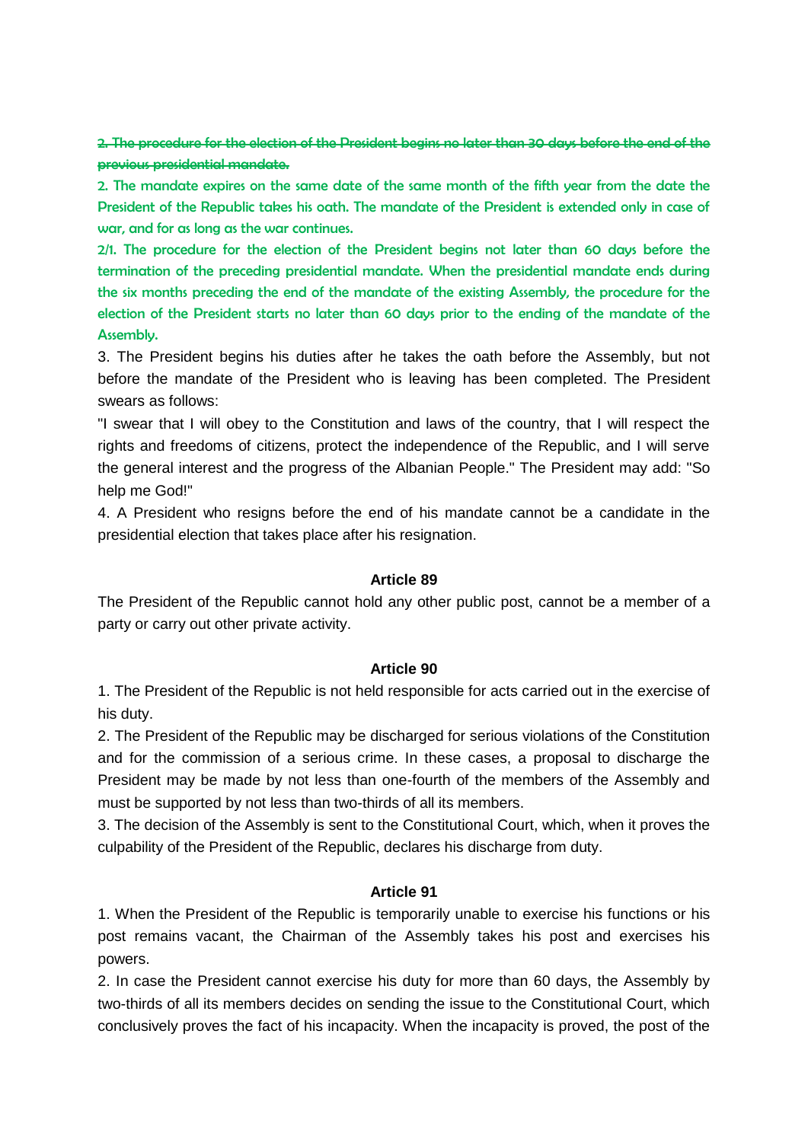2. The procedure for the election of the President begins no later than 30 days before the end of the previous presidential mandate.

2. The mandate expires on the same date of the same month of the fifth year from the date the President of the Republic takes his oath. The mandate of the President is extended only in case of war, and for as long as the war continues.

2/1. The procedure for the election of the President begins not later than 60 days before the termination of the preceding presidential mandate. When the presidential mandate ends during the six months preceding the end of the mandate of the existing Assembly, the procedure for the election of the President starts no later than 60 days prior to the ending of the mandate of the Assembly.

3. The President begins his duties after he takes the oath before the Assembly, but not before the mandate of the President who is leaving has been completed. The President swears as follows:

"I swear that I will obey to the Constitution and laws of the country, that I will respect the rights and freedoms of citizens, protect the independence of the Republic, and I will serve the general interest and the progress of the Albanian People." The President may add: "So help me God!"

4. A President who resigns before the end of his mandate cannot be a candidate in the presidential election that takes place after his resignation.

#### **Article 89**

The President of the Republic cannot hold any other public post, cannot be a member of a party or carry out other private activity.

#### **Article 90**

1. The President of the Republic is not held responsible for acts carried out in the exercise of his duty.

2. The President of the Republic may be discharged for serious violations of the Constitution and for the commission of a serious crime. In these cases, a proposal to discharge the President may be made by not less than one-fourth of the members of the Assembly and must be supported by not less than two-thirds of all its members.

3. The decision of the Assembly is sent to the Constitutional Court, which, when it proves the culpability of the President of the Republic, declares his discharge from duty.

### **Article 91**

1. When the President of the Republic is temporarily unable to exercise his functions or his post remains vacant, the Chairman of the Assembly takes his post and exercises his powers.

2. In case the President cannot exercise his duty for more than 60 days, the Assembly by two-thirds of all its members decides on sending the issue to the Constitutional Court, which conclusively proves the fact of his incapacity. When the incapacity is proved, the post of the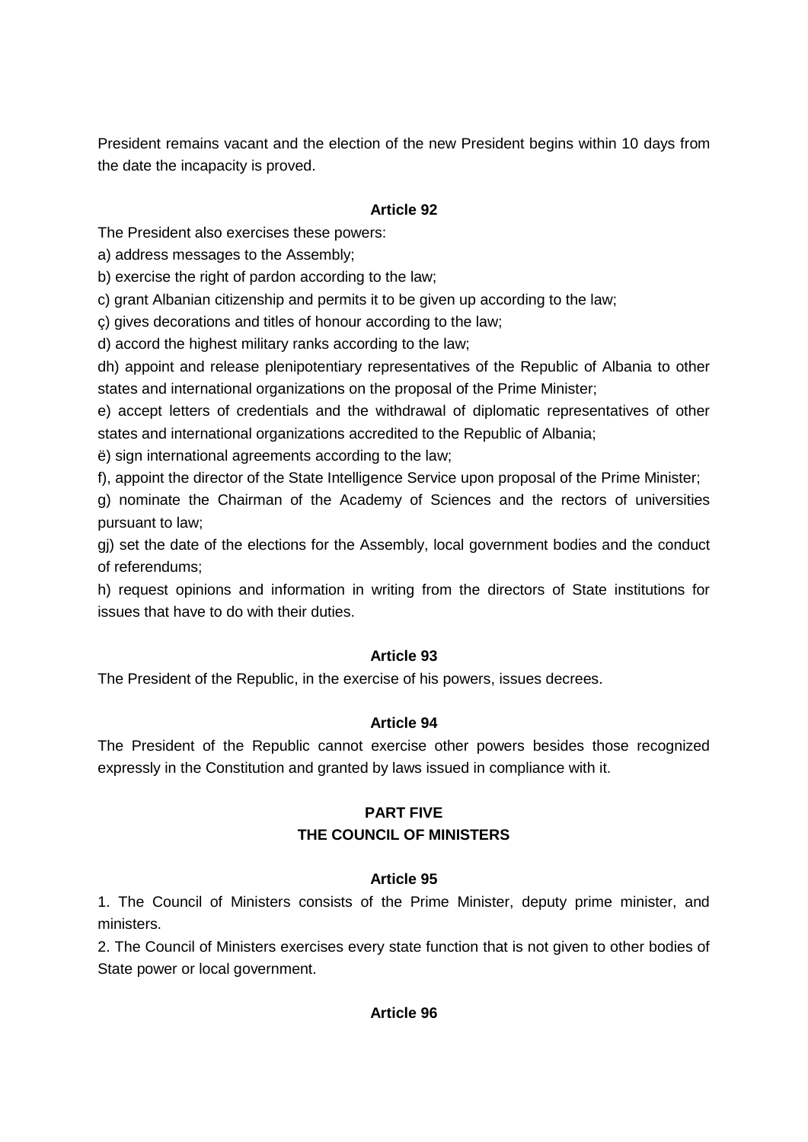President remains vacant and the election of the new President begins within 10 days from the date the incapacity is proved.

# **Article 92**

The President also exercises these powers:

a) address messages to the Assembly;

b) exercise the right of pardon according to the law;

c) grant Albanian citizenship and permits it to be given up according to the law;

ç) gives decorations and titles of honour according to the law;

d) accord the highest military ranks according to the law;

dh) appoint and release plenipotentiary representatives of the Republic of Albania to other states and international organizations on the proposal of the Prime Minister;

e) accept letters of credentials and the withdrawal of diplomatic representatives of other states and international organizations accredited to the Republic of Albania;

ë) sign international agreements according to the law;

f), appoint the director of the State Intelligence Service upon proposal of the Prime Minister;

g) nominate the Chairman of the Academy of Sciences and the rectors of universities pursuant to law;

gj) set the date of the elections for the Assembly, local government bodies and the conduct of referendums;

h) request opinions and information in writing from the directors of State institutions for issues that have to do with their duties.

### **Article 93**

The President of the Republic, in the exercise of his powers, issues decrees.

### **Article 94**

The President of the Republic cannot exercise other powers besides those recognized expressly in the Constitution and granted by laws issued in compliance with it.

# **PART FIVE THE COUNCIL OF MINISTERS**

### **Article 95**

1. The Council of Ministers consists of the Prime Minister, deputy prime minister, and ministers.

2. The Council of Ministers exercises every state function that is not given to other bodies of State power or local government.

### **Article 96**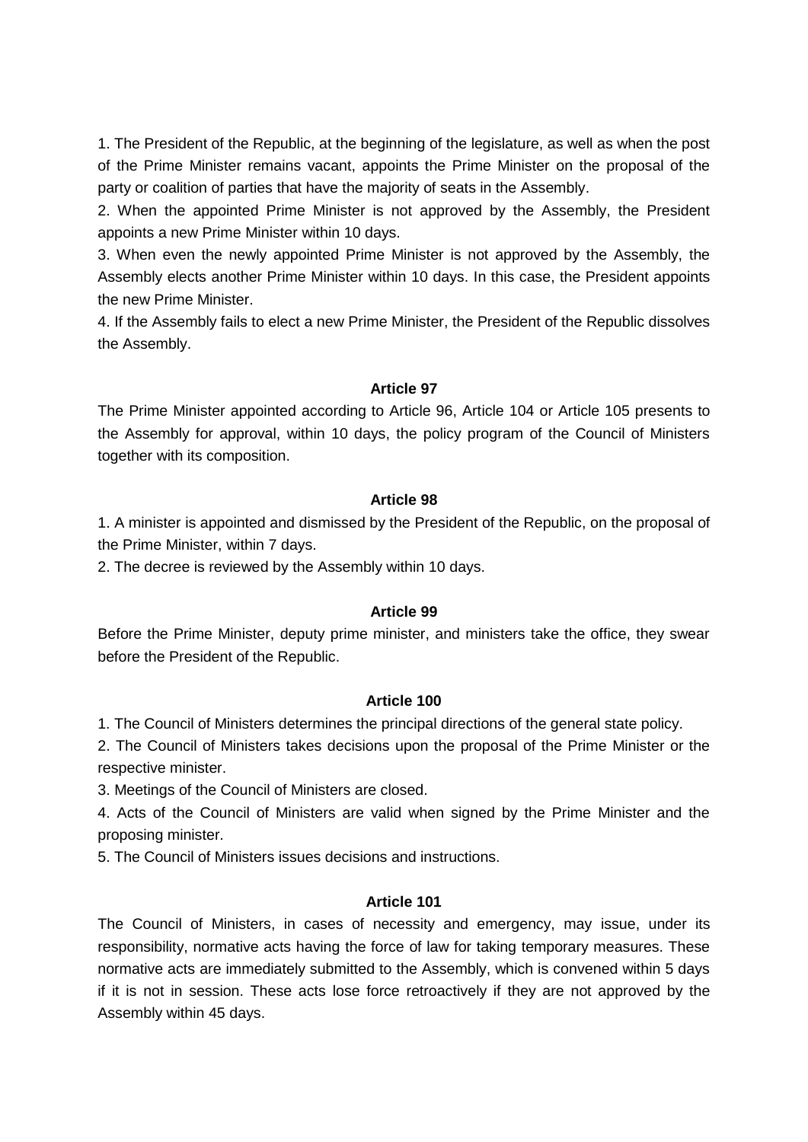1. The President of the Republic, at the beginning of the legislature, as well as when the post of the Prime Minister remains vacant, appoints the Prime Minister on the proposal of the party or coalition of parties that have the majority of seats in the Assembly.

2. When the appointed Prime Minister is not approved by the Assembly, the President appoints a new Prime Minister within 10 days.

3. When even the newly appointed Prime Minister is not approved by the Assembly, the Assembly elects another Prime Minister within 10 days. In this case, the President appoints the new Prime Minister.

4. If the Assembly fails to elect a new Prime Minister, the President of the Republic dissolves the Assembly.

### **Article 97**

The Prime Minister appointed according to Article 96, Article 104 or Article 105 presents to the Assembly for approval, within 10 days, the policy program of the Council of Ministers together with its composition.

### **Article 98**

1. A minister is appointed and dismissed by the President of the Republic, on the proposal of the Prime Minister, within 7 days.

2. The decree is reviewed by the Assembly within 10 days.

### **Article 99**

Before the Prime Minister, deputy prime minister, and ministers take the office, they swear before the President of the Republic.

### **Article 100**

1. The Council of Ministers determines the principal directions of the general state policy.

2. The Council of Ministers takes decisions upon the proposal of the Prime Minister or the respective minister.

3. Meetings of the Council of Ministers are closed.

4. Acts of the Council of Ministers are valid when signed by the Prime Minister and the proposing minister.

5. The Council of Ministers issues decisions and instructions.

### **Article 101**

The Council of Ministers, in cases of necessity and emergency, may issue, under its responsibility, normative acts having the force of law for taking temporary measures. These normative acts are immediately submitted to the Assembly, which is convened within 5 days if it is not in session. These acts lose force retroactively if they are not approved by the Assembly within 45 days.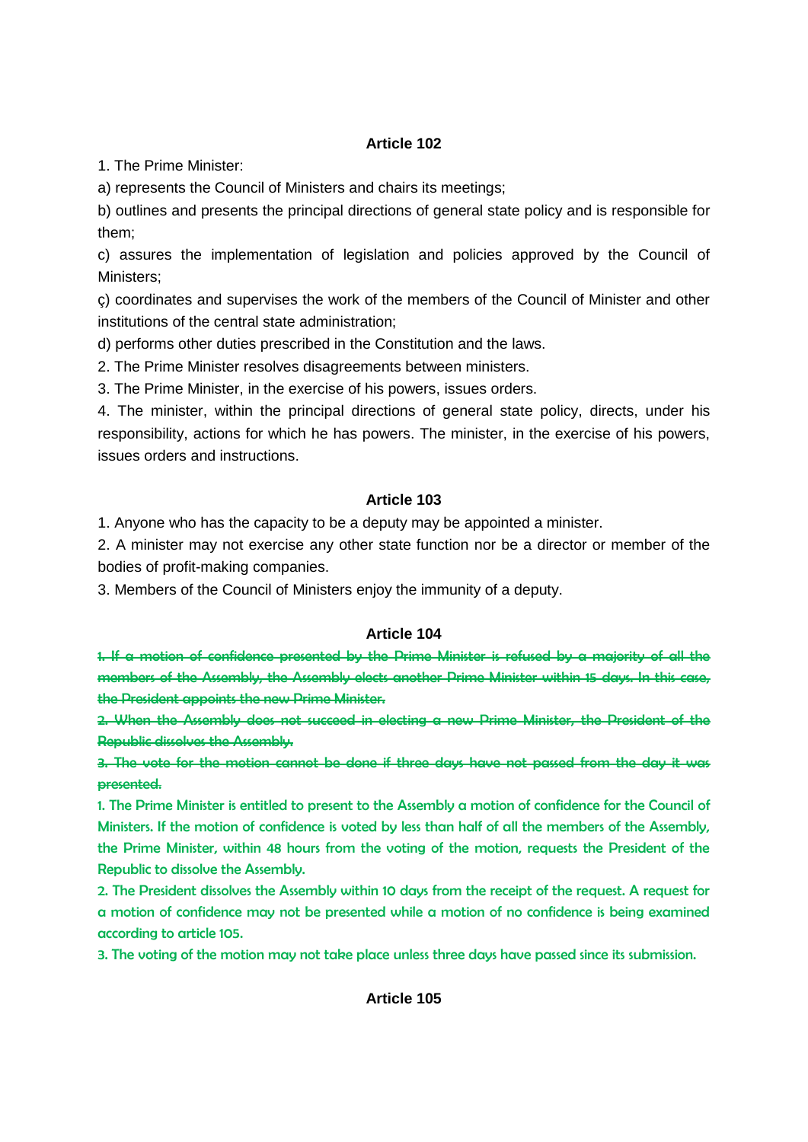1. The Prime Minister:

a) represents the Council of Ministers and chairs its meetings;

b) outlines and presents the principal directions of general state policy and is responsible for them;

c) assures the implementation of legislation and policies approved by the Council of Ministers;

ç) coordinates and supervises the work of the members of the Council of Minister and other institutions of the central state administration;

d) performs other duties prescribed in the Constitution and the laws.

2. The Prime Minister resolves disagreements between ministers.

3. The Prime Minister, in the exercise of his powers, issues orders.

4. The minister, within the principal directions of general state policy, directs, under his responsibility, actions for which he has powers. The minister, in the exercise of his powers, issues orders and instructions.

### **Article 103**

1. Anyone who has the capacity to be a deputy may be appointed a minister.

2. A minister may not exercise any other state function nor be a director or member of the bodies of profit-making companies.

3. Members of the Council of Ministers enjoy the immunity of a deputy.

### **Article 104**

1. If a motion of confidence presented by the Prime Minister is refused by a majority of all the members of the Assembly, the Assembly elects another Prime Minister within 15 days. In this case, the President appoints the new Prime Minister.

2. When the Assembly does not succeed in electing a new Prime Minister, the President of the Republic dissolves the Assembly.

3. The vote for the motion cannot be done if three days have not passed from the day it was presented.

1. The Prime Minister is entitled to present to the Assembly a motion of confidence for the Council of Ministers. If the motion of confidence is voted by less than half of all the members of the Assembly, the Prime Minister, within 48 hours from the voting of the motion, requests the President of the Republic to dissolve the Assembly.

2. The President dissolves the Assembly within 10 days from the receipt of the request. A request for a motion of confidence may not be presented while a motion of no confidence is being examined according to article 105.

3. The voting of the motion may not take place unless three days have passed since its submission.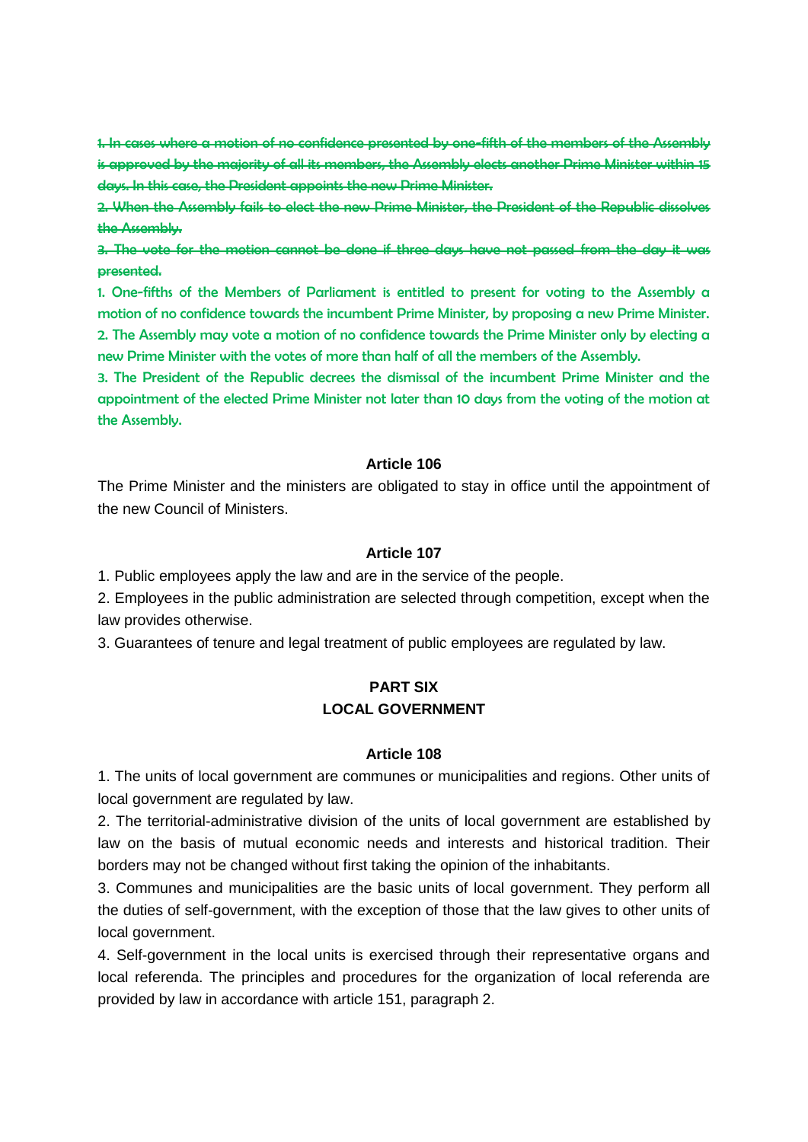1. In cases where a motion of no confidence presented by one-fifth of the members of the Assembly is approved by the majority of all its members, the Assembly elects another Prime Minister within 15 days. In this case, the President appoints the new Prime Minister.

2. When the Assembly fails to elect the new Prime Minister, the President of the Republic dissolves the Assembly.

3. The vote for the motion cannot be done if three days have not passed from the day it was presented.

1. One-fifths of the Members of Parliament is entitled to present for voting to the Assembly a motion of no confidence towards the incumbent Prime Minister, by proposing a new Prime Minister. 2. The Assembly may vote a motion of no confidence towards the Prime Minister only by electing a new Prime Minister with the votes of more than half of all the members of the Assembly.

3. The President of the Republic decrees the dismissal of the incumbent Prime Minister and the appointment of the elected Prime Minister not later than 10 days from the voting of the motion at the Assembly.

#### **Article 106**

The Prime Minister and the ministers are obligated to stay in office until the appointment of the new Council of Ministers.

#### **Article 107**

1. Public employees apply the law and are in the service of the people.

2. Employees in the public administration are selected through competition, except when the law provides otherwise.

3. Guarantees of tenure and legal treatment of public employees are regulated by law.

# **PART SIX LOCAL GOVERNMENT**

#### **Article 108**

1. The units of local government are communes or municipalities and regions. Other units of local government are regulated by law.

2. The territorial-administrative division of the units of local government are established by law on the basis of mutual economic needs and interests and historical tradition. Their borders may not be changed without first taking the opinion of the inhabitants.

3. Communes and municipalities are the basic units of local government. They perform all the duties of self-government, with the exception of those that the law gives to other units of local government.

4. Self-government in the local units is exercised through their representative organs and local referenda. The principles and procedures for the organization of local referenda are provided by law in accordance with article 151, paragraph 2.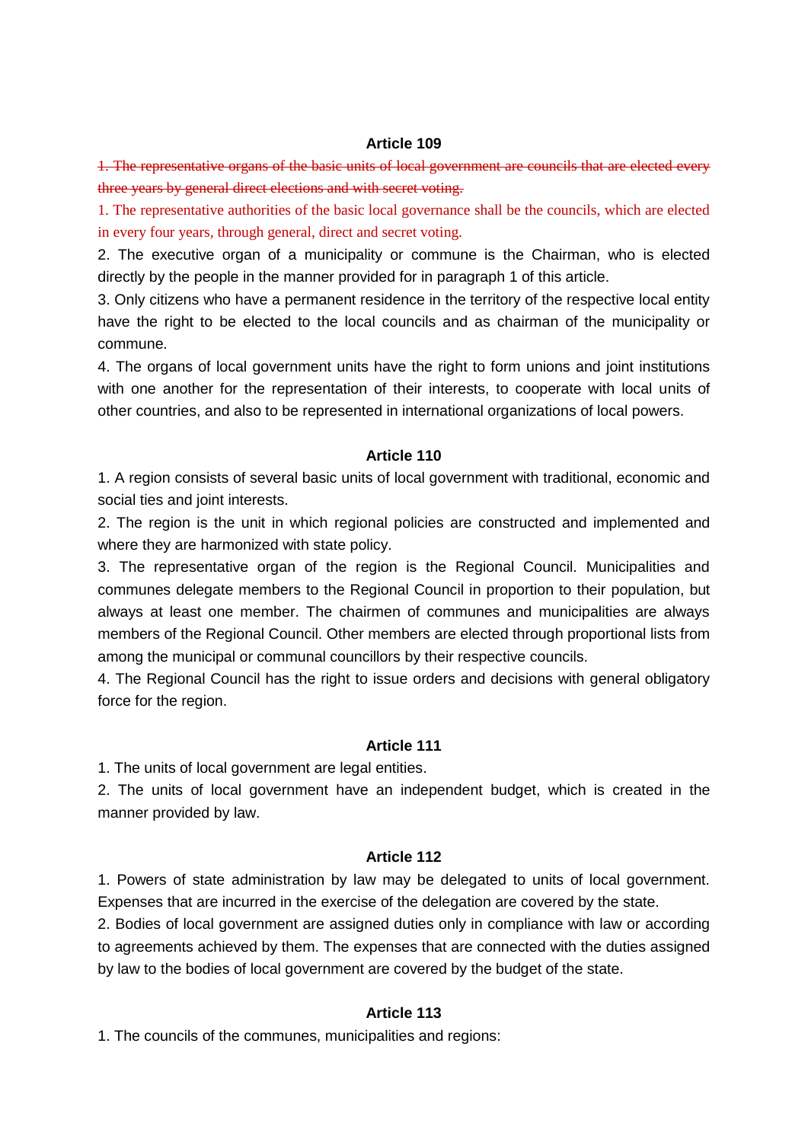1. The representative organs of the basic units of local government are councils that are elected every three years by general direct elections and with secret voting.

1. The representative authorities of the basic local governance shall be the councils, which are elected in every four years, through general, direct and secret voting.

2. The executive organ of a municipality or commune is the Chairman, who is elected directly by the people in the manner provided for in paragraph 1 of this article.

3. Only citizens who have a permanent residence in the territory of the respective local entity have the right to be elected to the local councils and as chairman of the municipality or commune.

4. The organs of local government units have the right to form unions and joint institutions with one another for the representation of their interests, to cooperate with local units of other countries, and also to be represented in international organizations of local powers.

#### **Article 110**

1. A region consists of several basic units of local government with traditional, economic and social ties and joint interests.

2. The region is the unit in which regional policies are constructed and implemented and where they are harmonized with state policy.

3. The representative organ of the region is the Regional Council. Municipalities and communes delegate members to the Regional Council in proportion to their population, but always at least one member. The chairmen of communes and municipalities are always members of the Regional Council. Other members are elected through proportional lists from among the municipal or communal councillors by their respective councils.

4. The Regional Council has the right to issue orders and decisions with general obligatory force for the region.

#### **Article 111**

1. The units of local government are legal entities.

2. The units of local government have an independent budget, which is created in the manner provided by law.

#### **Article 112**

1. Powers of state administration by law may be delegated to units of local government. Expenses that are incurred in the exercise of the delegation are covered by the state.

2. Bodies of local government are assigned duties only in compliance with law or according to agreements achieved by them. The expenses that are connected with the duties assigned by law to the bodies of local government are covered by the budget of the state.

#### **Article 113**

1. The councils of the communes, municipalities and regions: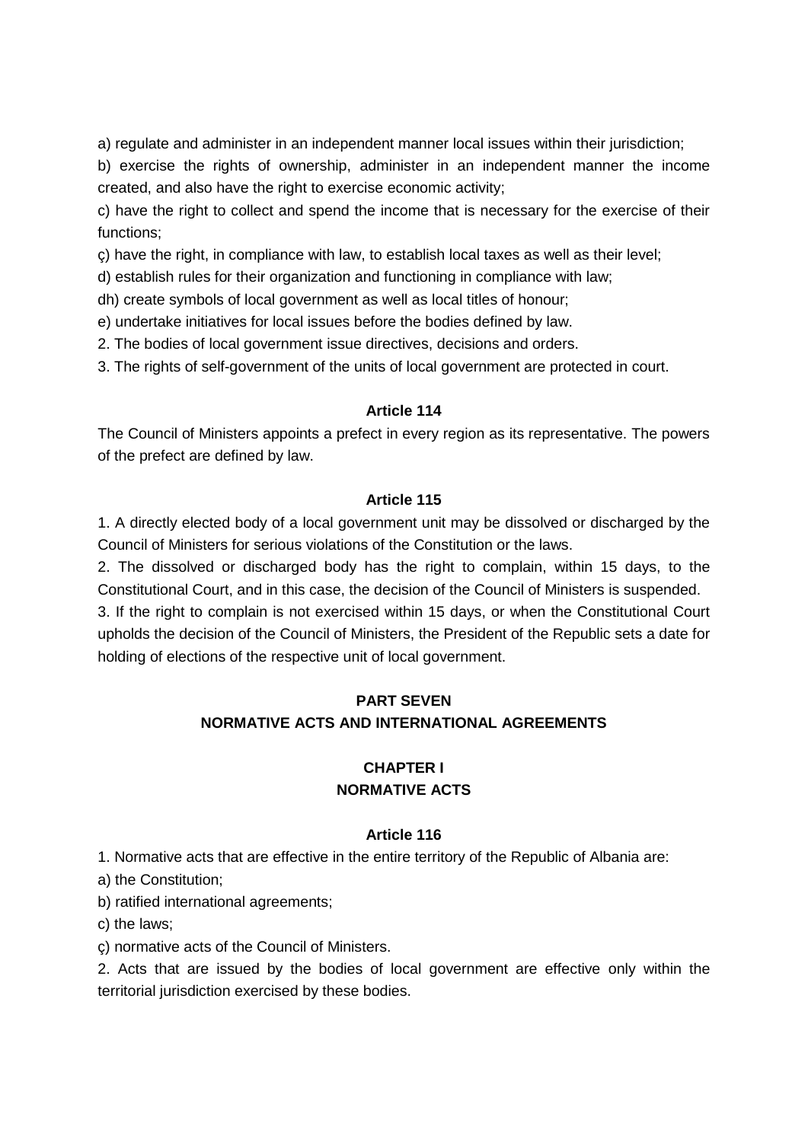a) regulate and administer in an independent manner local issues within their jurisdiction;

b) exercise the rights of ownership, administer in an independent manner the income created, and also have the right to exercise economic activity;

c) have the right to collect and spend the income that is necessary for the exercise of their functions;

ç) have the right, in compliance with law, to establish local taxes as well as their level;

d) establish rules for their organization and functioning in compliance with law;

dh) create symbols of local government as well as local titles of honour;

e) undertake initiatives for local issues before the bodies defined by law.

2. The bodies of local government issue directives, decisions and orders.

3. The rights of self-government of the units of local government are protected in court.

### **Article 114**

The Council of Ministers appoints a prefect in every region as its representative. The powers of the prefect are defined by law.

### **Article 115**

1. A directly elected body of a local government unit may be dissolved or discharged by the Council of Ministers for serious violations of the Constitution or the laws.

2. The dissolved or discharged body has the right to complain, within 15 days, to the Constitutional Court, and in this case, the decision of the Council of Ministers is suspended.

3. If the right to complain is not exercised within 15 days, or when the Constitutional Court upholds the decision of the Council of Ministers, the President of the Republic sets a date for holding of elections of the respective unit of local government.

# **PART SEVEN NORMATIVE ACTS AND INTERNATIONAL AGREEMENTS**

# **CHAPTER I NORMATIVE ACTS**

### **Article 116**

1. Normative acts that are effective in the entire territory of the Republic of Albania are:

a) the Constitution;

b) ratified international agreements;

c) the laws;

ç) normative acts of the Council of Ministers.

2. Acts that are issued by the bodies of local government are effective only within the territorial jurisdiction exercised by these bodies.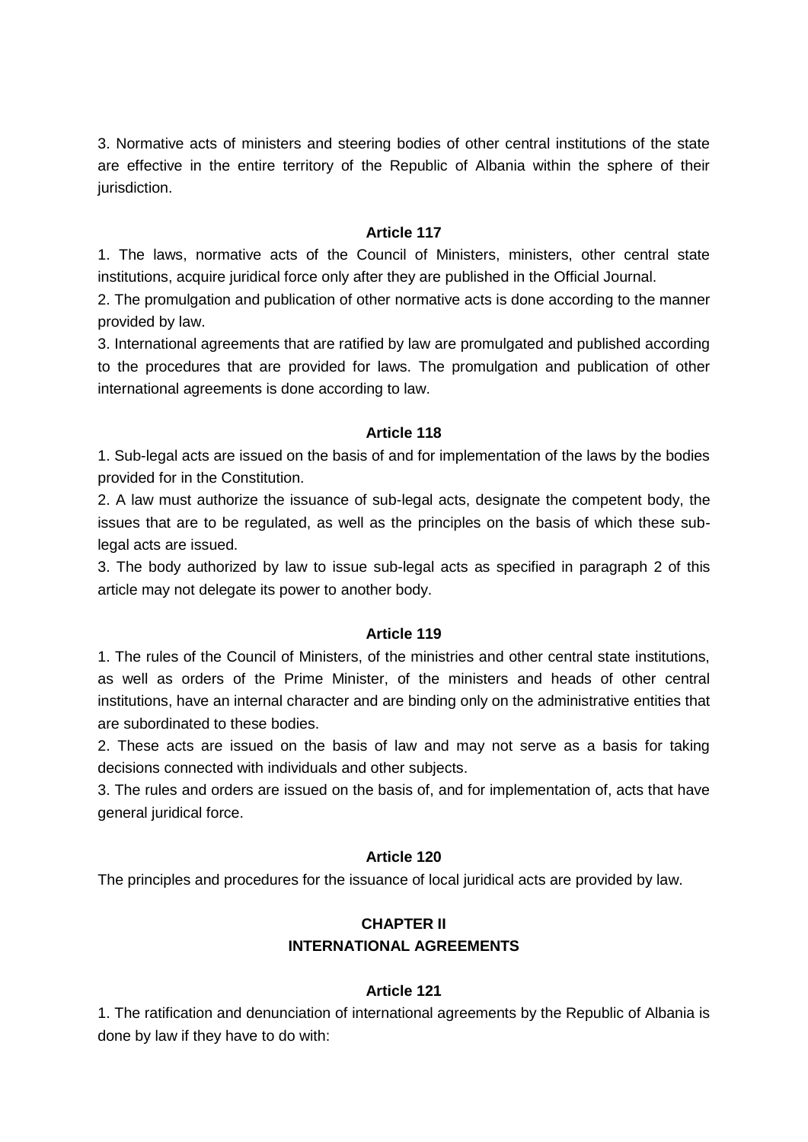3. Normative acts of ministers and steering bodies of other central institutions of the state are effective in the entire territory of the Republic of Albania within the sphere of their jurisdiction.

### **Article 117**

1. The laws, normative acts of the Council of Ministers, ministers, other central state institutions, acquire juridical force only after they are published in the Official Journal.

2. The promulgation and publication of other normative acts is done according to the manner provided by law.

3. International agreements that are ratified by law are promulgated and published according to the procedures that are provided for laws. The promulgation and publication of other international agreements is done according to law.

### **Article 118**

1. Sub-legal acts are issued on the basis of and for implementation of the laws by the bodies provided for in the Constitution.

2. A law must authorize the issuance of sub-legal acts, designate the competent body, the issues that are to be regulated, as well as the principles on the basis of which these sublegal acts are issued.

3. The body authorized by law to issue sub-legal acts as specified in paragraph 2 of this article may not delegate its power to another body.

### **Article 119**

1. The rules of the Council of Ministers, of the ministries and other central state institutions, as well as orders of the Prime Minister, of the ministers and heads of other central institutions, have an internal character and are binding only on the administrative entities that are subordinated to these bodies.

2. These acts are issued on the basis of law and may not serve as a basis for taking decisions connected with individuals and other subjects.

3. The rules and orders are issued on the basis of, and for implementation of, acts that have general juridical force.

### **Article 120**

The principles and procedures for the issuance of local juridical acts are provided by law.

# **CHAPTER II INTERNATIONAL AGREEMENTS**

### **Article 121**

1. The ratification and denunciation of international agreements by the Republic of Albania is done by law if they have to do with: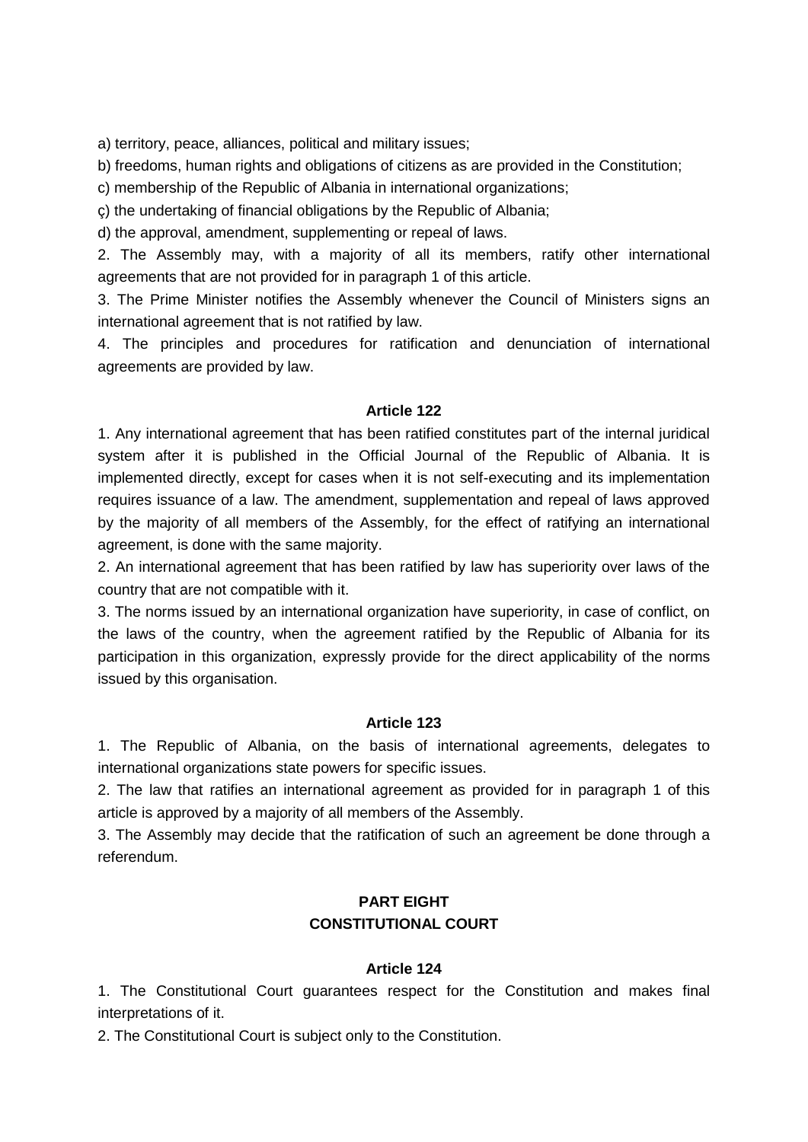a) territory, peace, alliances, political and military issues;

b) freedoms, human rights and obligations of citizens as are provided in the Constitution;

c) membership of the Republic of Albania in international organizations;

ç) the undertaking of financial obligations by the Republic of Albania;

d) the approval, amendment, supplementing or repeal of laws.

2. The Assembly may, with a majority of all its members, ratify other international agreements that are not provided for in paragraph 1 of this article.

3. The Prime Minister notifies the Assembly whenever the Council of Ministers signs an international agreement that is not ratified by law.

4. The principles and procedures for ratification and denunciation of international agreements are provided by law.

### **Article 122**

1. Any international agreement that has been ratified constitutes part of the internal juridical system after it is published in the Official Journal of the Republic of Albania. It is implemented directly, except for cases when it is not self-executing and its implementation requires issuance of a law. The amendment, supplementation and repeal of laws approved by the majority of all members of the Assembly, for the effect of ratifying an international agreement, is done with the same majority.

2. An international agreement that has been ratified by law has superiority over laws of the country that are not compatible with it.

3. The norms issued by an international organization have superiority, in case of conflict, on the laws of the country, when the agreement ratified by the Republic of Albania for its participation in this organization, expressly provide for the direct applicability of the norms issued by this organisation.

### **Article 123**

1. The Republic of Albania, on the basis of international agreements, delegates to international organizations state powers for specific issues.

2. The law that ratifies an international agreement as provided for in paragraph 1 of this article is approved by a majority of all members of the Assembly.

3. The Assembly may decide that the ratification of such an agreement be done through a referendum.

# **PART EIGHT CONSTITUTIONAL COURT**

#### **Article 124**

1. The Constitutional Court guarantees respect for the Constitution and makes final interpretations of it.

2. The Constitutional Court is subject only to the Constitution.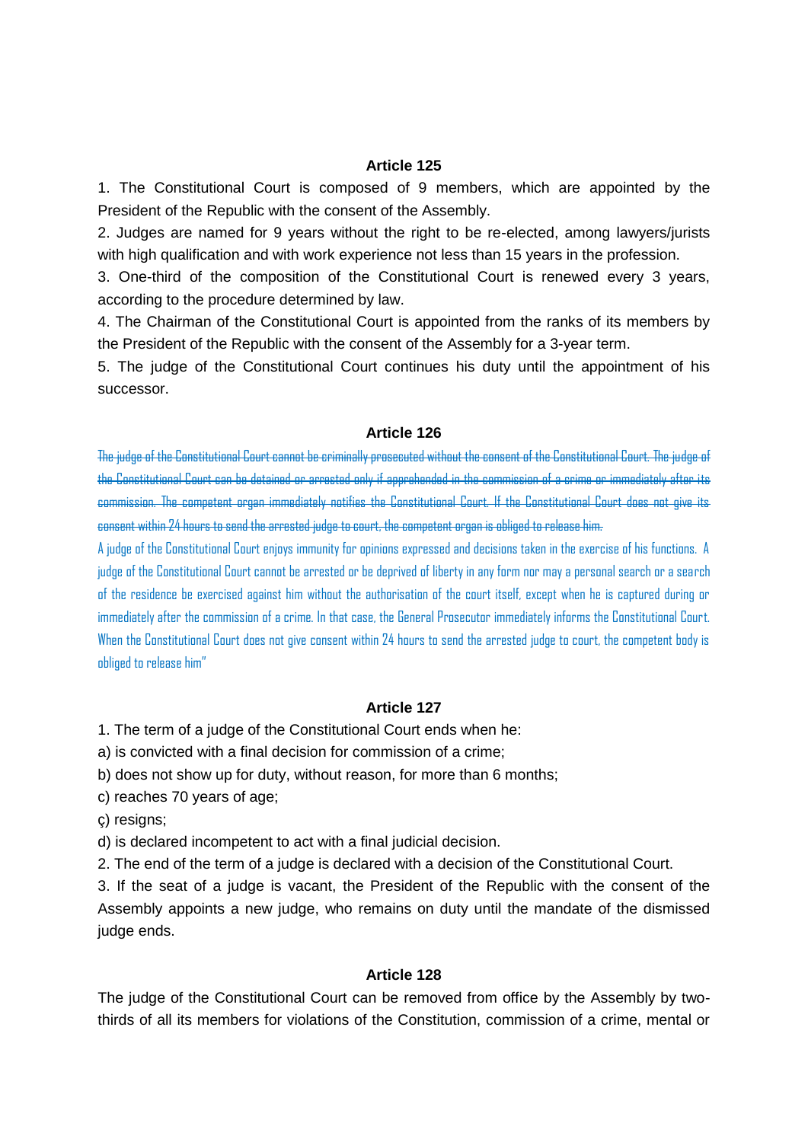1. The Constitutional Court is composed of 9 members, which are appointed by the President of the Republic with the consent of the Assembly.

2. Judges are named for 9 years without the right to be re-elected, among lawyers/jurists with high qualification and with work experience not less than 15 years in the profession.

3. One-third of the composition of the Constitutional Court is renewed every 3 years, according to the procedure determined by law.

4. The Chairman of the Constitutional Court is appointed from the ranks of its members by the President of the Republic with the consent of the Assembly for a 3-year term.

5. The judge of the Constitutional Court continues his duty until the appointment of his successor.

#### **Article 126**

The judge of the Constitutional Court cannot be criminally prosecuted without the consent of the Constitutional Court. The judge of the Constitutional Court can be detained or arrested only if apprehended in the commission of a crime or immediately after its commission. The competent organ immediately notifies the Constitutional Court. If the Constitutional Court does not give its consent within 24 hours to send the arrested judge to court, the competent organ is obliged to release him.

A judge of the Constitutional Court enjoys immunity for opinions expressed and decisions taken in the exercise of his functions. A judge of the Constitutional Court cannot be arrested or be deprived of liberty in any form nor may a personal search or a search of the residence be exercised against him without the authorisation of the court itself, except when he is captured during or immediately after the commission of a crime. In that case, the General Prosecutor immediately informs the Constitutional Court. When the Constitutional Court does not give consent within 24 hours to send the arrested judge to court, the competent body is obliged to release him"

### **Article 127**

1. The term of a judge of the Constitutional Court ends when he:

a) is convicted with a final decision for commission of a crime;

b) does not show up for duty, without reason, for more than 6 months;

c) reaches 70 years of age;

ç) resigns;

d) is declared incompetent to act with a final judicial decision.

2. The end of the term of a judge is declared with a decision of the Constitutional Court.

3. If the seat of a judge is vacant, the President of the Republic with the consent of the Assembly appoints a new judge, who remains on duty until the mandate of the dismissed judge ends.

#### **Article 128**

The judge of the Constitutional Court can be removed from office by the Assembly by twothirds of all its members for violations of the Constitution, commission of a crime, mental or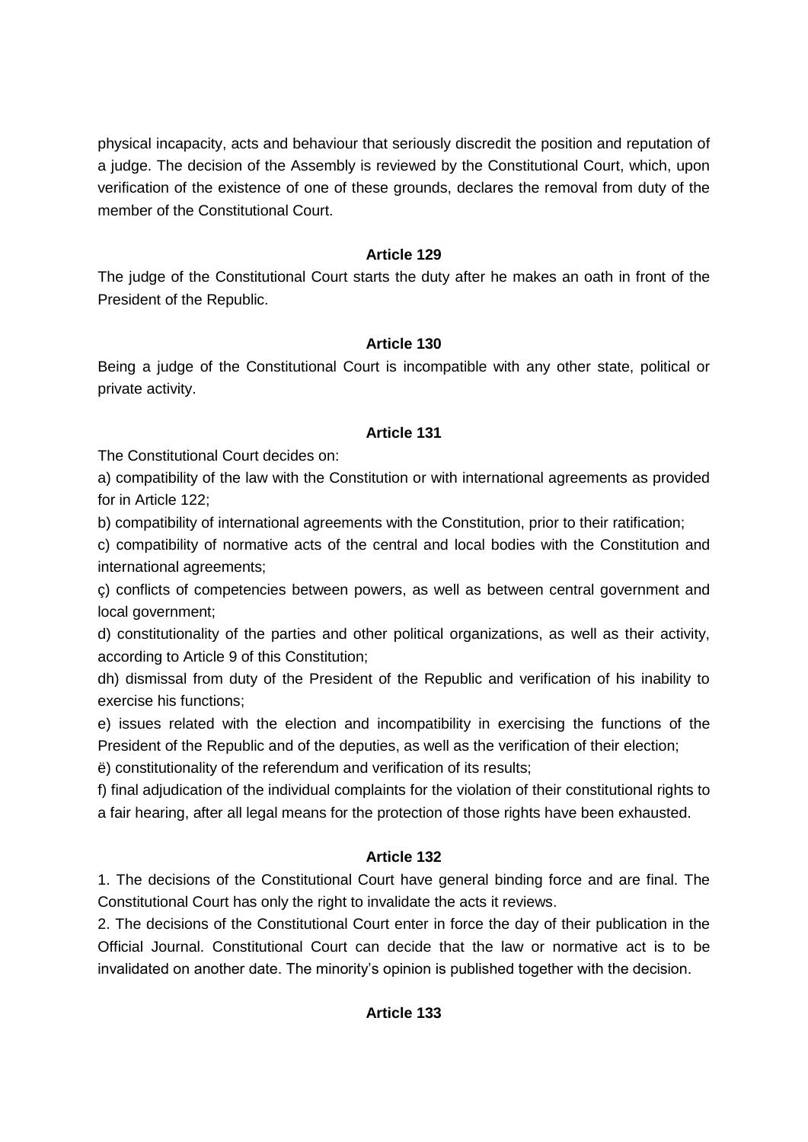physical incapacity, acts and behaviour that seriously discredit the position and reputation of a judge. The decision of the Assembly is reviewed by the Constitutional Court, which, upon verification of the existence of one of these grounds, declares the removal from duty of the member of the Constitutional Court.

### **Article 129**

The judge of the Constitutional Court starts the duty after he makes an oath in front of the President of the Republic.

### **Article 130**

Being a judge of the Constitutional Court is incompatible with any other state, political or private activity.

### **Article 131**

The Constitutional Court decides on:

a) compatibility of the law with the Constitution or with international agreements as provided for in Article 122;

b) compatibility of international agreements with the Constitution, prior to their ratification;

c) compatibility of normative acts of the central and local bodies with the Constitution and international agreements;

ç) conflicts of competencies between powers, as well as between central government and local government;

d) constitutionality of the parties and other political organizations, as well as their activity, according to Article 9 of this Constitution;

dh) dismissal from duty of the President of the Republic and verification of his inability to exercise his functions;

e) issues related with the election and incompatibility in exercising the functions of the President of the Republic and of the deputies, as well as the verification of their election;

ë) constitutionality of the referendum and verification of its results;

f) final adjudication of the individual complaints for the violation of their constitutional rights to a fair hearing, after all legal means for the protection of those rights have been exhausted.

### **Article 132**

1. The decisions of the Constitutional Court have general binding force and are final. The Constitutional Court has only the right to invalidate the acts it reviews.

2. The decisions of the Constitutional Court enter in force the day of their publication in the Official Journal. Constitutional Court can decide that the law or normative act is to be invalidated on another date. The minority's opinion is published together with the decision.

# **Article 133**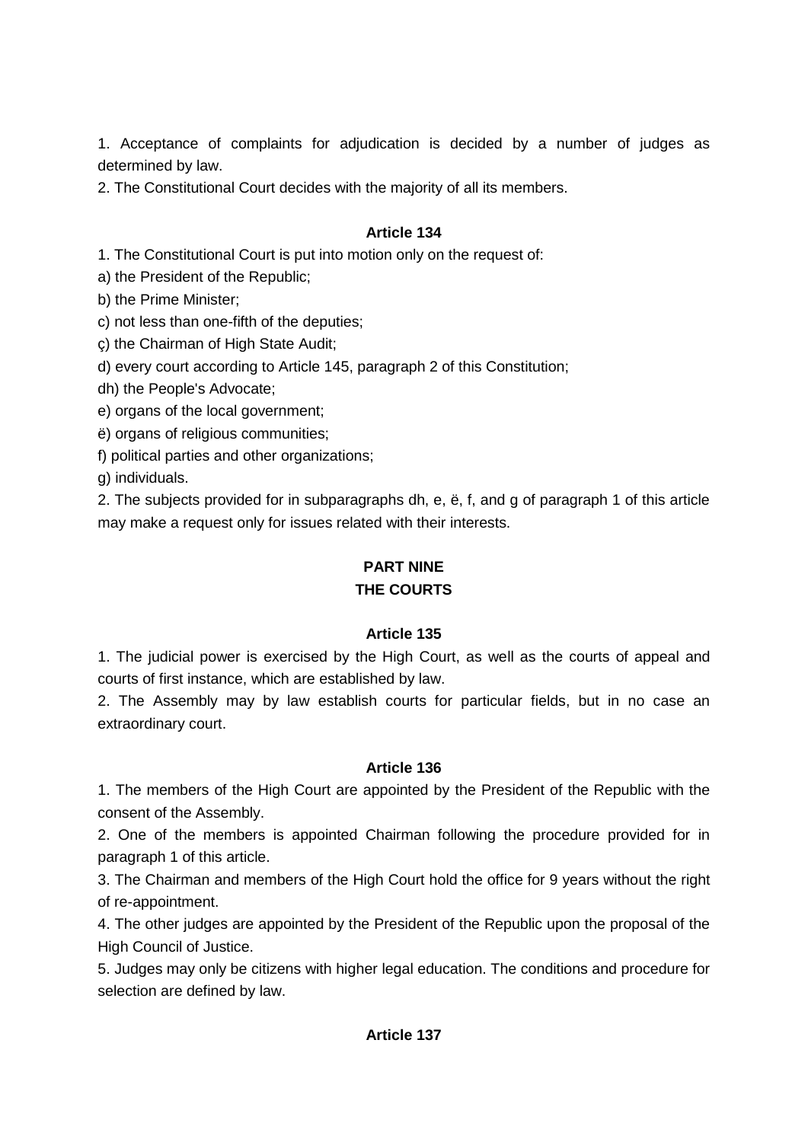1. Acceptance of complaints for adjudication is decided by a number of judges as determined by law.

2. The Constitutional Court decides with the majority of all its members.

# **Article 134**

1. The Constitutional Court is put into motion only on the request of:

a) the President of the Republic;

b) the Prime Minister;

c) not less than one-fifth of the deputies;

ç) the Chairman of High State Audit;

d) every court according to Article 145, paragraph 2 of this Constitution;

dh) the People's Advocate;

e) organs of the local government;

ë) organs of religious communities;

f) political parties and other organizations;

g) individuals.

2. The subjects provided for in subparagraphs dh, e, ë, f, and g of paragraph 1 of this article may make a request only for issues related with their interests.

# **PART NINE**

# **THE COURTS**

### **Article 135**

1. The judicial power is exercised by the High Court, as well as the courts of appeal and courts of first instance, which are established by law.

2. The Assembly may by law establish courts for particular fields, but in no case an extraordinary court.

### **Article 136**

1. The members of the High Court are appointed by the President of the Republic with the consent of the Assembly.

2. One of the members is appointed Chairman following the procedure provided for in paragraph 1 of this article.

3. The Chairman and members of the High Court hold the office for 9 years without the right of re-appointment.

4. The other judges are appointed by the President of the Republic upon the proposal of the High Council of Justice.

5. Judges may only be citizens with higher legal education. The conditions and procedure for selection are defined by law.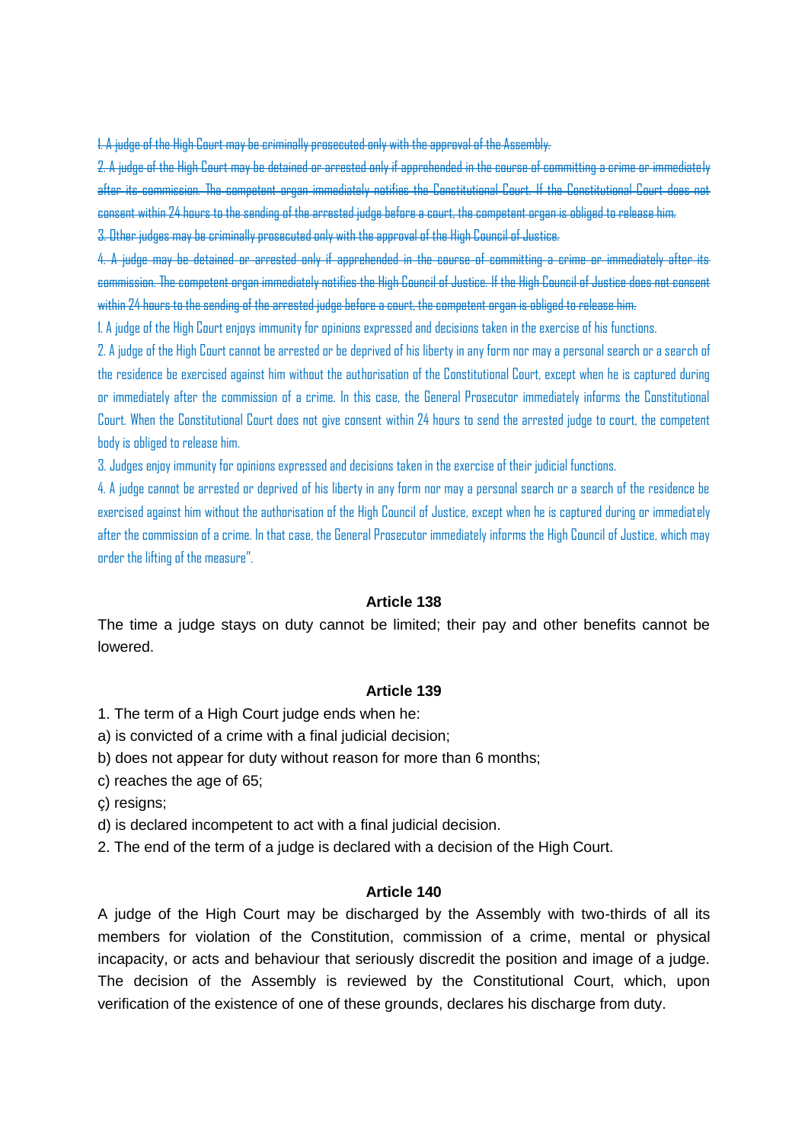1. A judge of the High Court may be criminally prosecuted only with the approval of the Assembly.

2. A judge of the High Court may be detained or arrested only if apprehended in the course of committing a crime or immedi after its commission. The competent organ immediately notifies the Constitutional Court. If the Constitutional Court does not consent within 24 hours to the sending of the arrested judge before a court, the competent organ is obliged to release him. 3. Other judges may be criminally prosecuted only with the approval of the High Council of Justice.

4. A judge may be detained or arrested only if apprehended in the course of committing a crime or immediately commission. The competent organ immediately notifies the High Council of Justice. If the High Council of Justice does not consent within 24 hours to the sending of the arrested judge before a court, the competent organ is obliged to release him.

1. A judge of the High Court enjoys immunity for opinions expressed and decisions taken in the exercise of his functions.

2. A judge of the High Court cannot be arrested or be deprived of his liberty in any form nor may a personal search or a search of the residence be exercised against him without the authorisation of the Constitutional Court, except when he is captured during or immediately after the commission of a crime. In this case, the General Prosecutor immediately informs the Constitutional Court. When the Constitutional Court does not give consent within 24 hours to send the arrested judge to court, the competent body is obliged to release him.

3. Judges enjoy immunity for opinions expressed and decisions taken in the exercise of their judicial functions.

4. A judge cannot be arrested or deprived of his liberty in any form nor may a personal search or a search of the residence be exercised against him without the authorisation of the High Council of Justice, except when he is captured during or immediately after the commission of a crime. In that case, the General Prosecutor immediately informs the High Council of Justice, which may order the lifting of the measure".

#### **Article 138**

The time a judge stays on duty cannot be limited; their pay and other benefits cannot be lowered.

#### **Article 139**

1. The term of a High Court judge ends when he:

- a) is convicted of a crime with a final judicial decision;
- b) does not appear for duty without reason for more than 6 months;
- c) reaches the age of 65;
- ç) resigns;
- d) is declared incompetent to act with a final judicial decision.
- 2. The end of the term of a judge is declared with a decision of the High Court.

#### **Article 140**

A judge of the High Court may be discharged by the Assembly with two-thirds of all its members for violation of the Constitution, commission of a crime, mental or physical incapacity, or acts and behaviour that seriously discredit the position and image of a judge. The decision of the Assembly is reviewed by the Constitutional Court, which, upon verification of the existence of one of these grounds, declares his discharge from duty.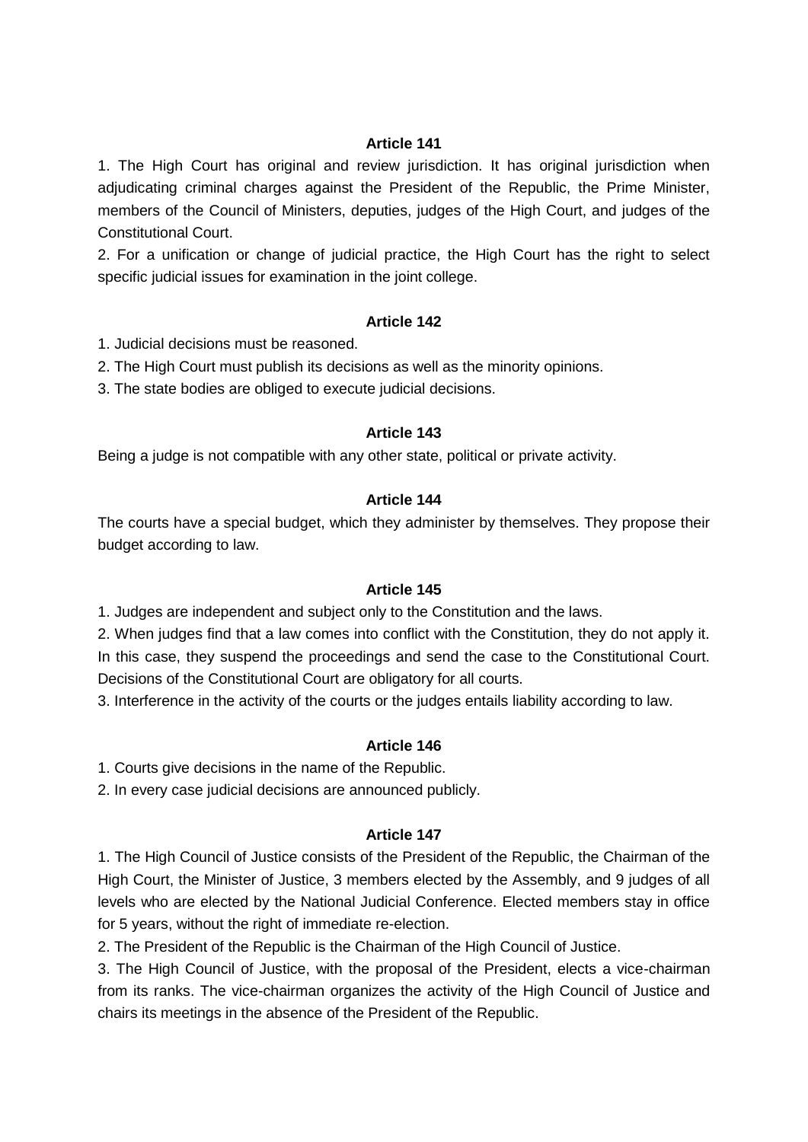1. The High Court has original and review jurisdiction. It has original jurisdiction when adjudicating criminal charges against the President of the Republic, the Prime Minister, members of the Council of Ministers, deputies, judges of the High Court, and judges of the Constitutional Court.

2. For a unification or change of judicial practice, the High Court has the right to select specific judicial issues for examination in the joint college.

### **Article 142**

- 1. Judicial decisions must be reasoned.
- 2. The High Court must publish its decisions as well as the minority opinions.
- 3. The state bodies are obliged to execute judicial decisions.

#### **Article 143**

Being a judge is not compatible with any other state, political or private activity.

### **Article 144**

The courts have a special budget, which they administer by themselves. They propose their budget according to law.

#### **Article 145**

1. Judges are independent and subject only to the Constitution and the laws.

2. When judges find that a law comes into conflict with the Constitution, they do not apply it. In this case, they suspend the proceedings and send the case to the Constitutional Court. Decisions of the Constitutional Court are obligatory for all courts.

3. Interference in the activity of the courts or the judges entails liability according to law.

### **Article 146**

1. Courts give decisions in the name of the Republic.

2. In every case judicial decisions are announced publicly.

#### **Article 147**

1. The High Council of Justice consists of the President of the Republic, the Chairman of the High Court, the Minister of Justice, 3 members elected by the Assembly, and 9 judges of all levels who are elected by the National Judicial Conference. Elected members stay in office for 5 years, without the right of immediate re-election.

2. The President of the Republic is the Chairman of the High Council of Justice.

3. The High Council of Justice, with the proposal of the President, elects a vice-chairman from its ranks. The vice-chairman organizes the activity of the High Council of Justice and chairs its meetings in the absence of the President of the Republic.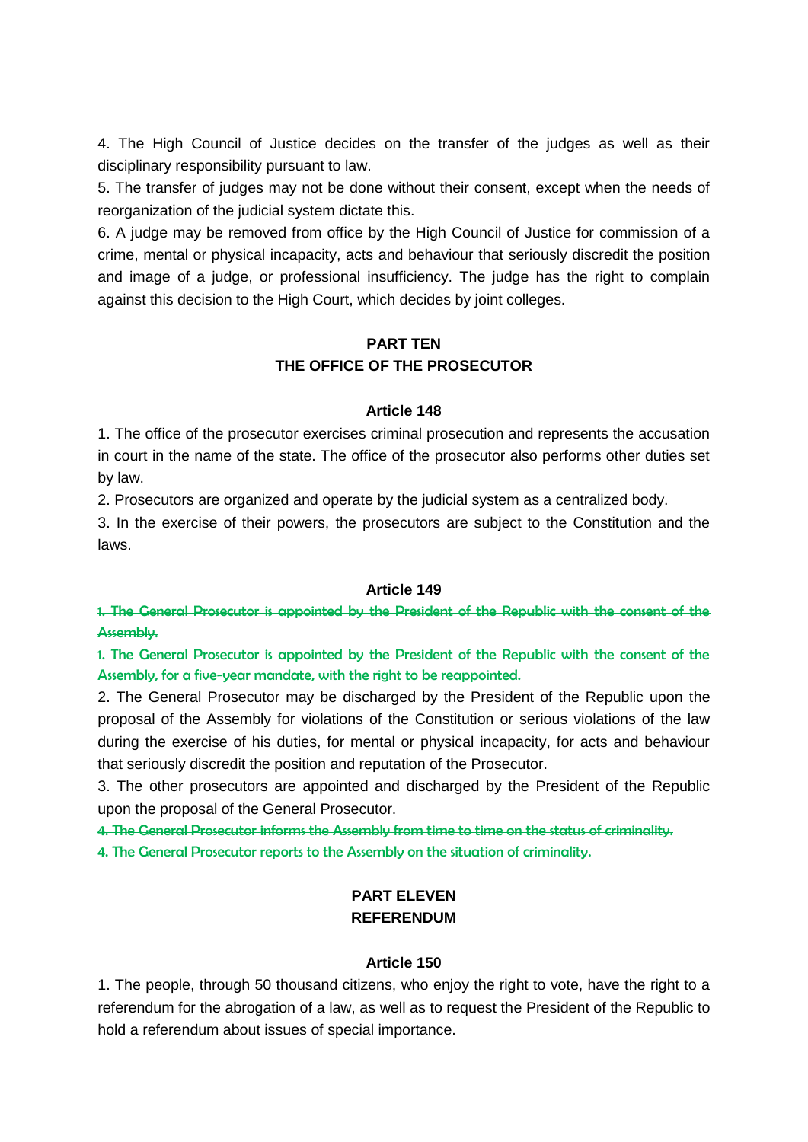4. The High Council of Justice decides on the transfer of the judges as well as their disciplinary responsibility pursuant to law.

5. The transfer of judges may not be done without their consent, except when the needs of reorganization of the judicial system dictate this.

6. A judge may be removed from office by the High Council of Justice for commission of a crime, mental or physical incapacity, acts and behaviour that seriously discredit the position and image of a judge, or professional insufficiency. The judge has the right to complain against this decision to the High Court, which decides by joint colleges.

# **PART TEN THE OFFICE OF THE PROSECUTOR**

#### **Article 148**

1. The office of the prosecutor exercises criminal prosecution and represents the accusation in court in the name of the state. The office of the prosecutor also performs other duties set by law.

2. Prosecutors are organized and operate by the judicial system as a centralized body.

3. In the exercise of their powers, the prosecutors are subject to the Constitution and the laws.

#### **Article 149**

1. The General Prosecutor is appointed by the President of the Republic with the consent of the Assembly.

1. The General Prosecutor is appointed by the President of the Republic with the consent of the Assembly, for a five-year mandate, with the right to be reappointed.

2. The General Prosecutor may be discharged by the President of the Republic upon the proposal of the Assembly for violations of the Constitution or serious violations of the law during the exercise of his duties, for mental or physical incapacity, for acts and behaviour that seriously discredit the position and reputation of the Prosecutor.

3. The other prosecutors are appointed and discharged by the President of the Republic upon the proposal of the General Prosecutor.

4. The General Prosecutor informs the Assembly from time to time on the status of criminality.

4. The General Prosecutor reports to the Assembly on the situation of criminality.

## **PART ELEVEN REFERENDUM**

### **Article 150**

1. The people, through 50 thousand citizens, who enjoy the right to vote, have the right to a referendum for the abrogation of a law, as well as to request the President of the Republic to hold a referendum about issues of special importance.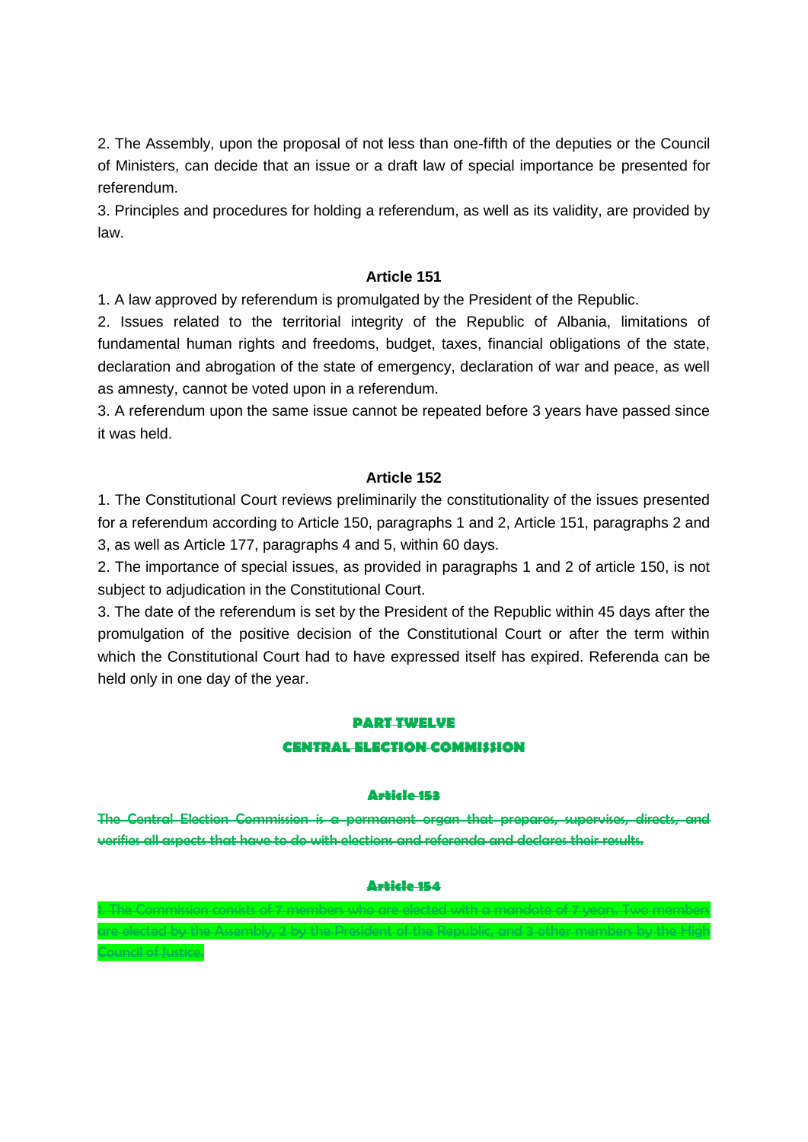2. The Assembly, upon the proposal of not less than one-fifth of the deputies or the Council of Ministers, can decide that an issue or a draft law of special importance be presented for referendum.

3. Principles and procedures for holding a referendum, as well as its validity, are provided by law.

### **Article 151**

1. A law approved by referendum is promulgated by the President of the Republic.

2. Issues related to the territorial integrity of the Republic of Albania, limitations of fundamental human rights and freedoms, budget, taxes, financial obligations of the state, declaration and abrogation of the state of emergency, declaration of war and peace, as well as amnesty, cannot be voted upon in a referendum.

3. A referendum upon the same issue cannot be repeated before 3 years have passed since it was held.

### **Article 152**

1. The Constitutional Court reviews preliminarily the constitutionality of the issues presented for a referendum according to Article 150, paragraphs 1 and 2, Article 151, paragraphs 2 and 3, as well as Article 177, paragraphs 4 and 5, within 60 days.

2. The importance of special issues, as provided in paragraphs 1 and 2 of article 150, is not subject to adjudication in the Constitutional Court.

3. The date of the referendum is set by the President of the Republic within 45 days after the promulgation of the positive decision of the Constitutional Court or after the term within which the Constitutional Court had to have expressed itself has expired. Referenda can be held only in one day of the year.

# **PART TWELVE CENTRAL ELECTION COMMISSION**

#### **Article 153**

The Central Election Commission is a permanent organ that prepares, supervises, directs, and verifies all aspects that have to do with elections and referenda and declares their results.

# **Article 154** 1. The Commission consists of 7 members who are elected with a mandate of 7 years. Two members

are elected by the Assembly, 2 by the President of the Republic, and 3 other members by the High

meil of Justice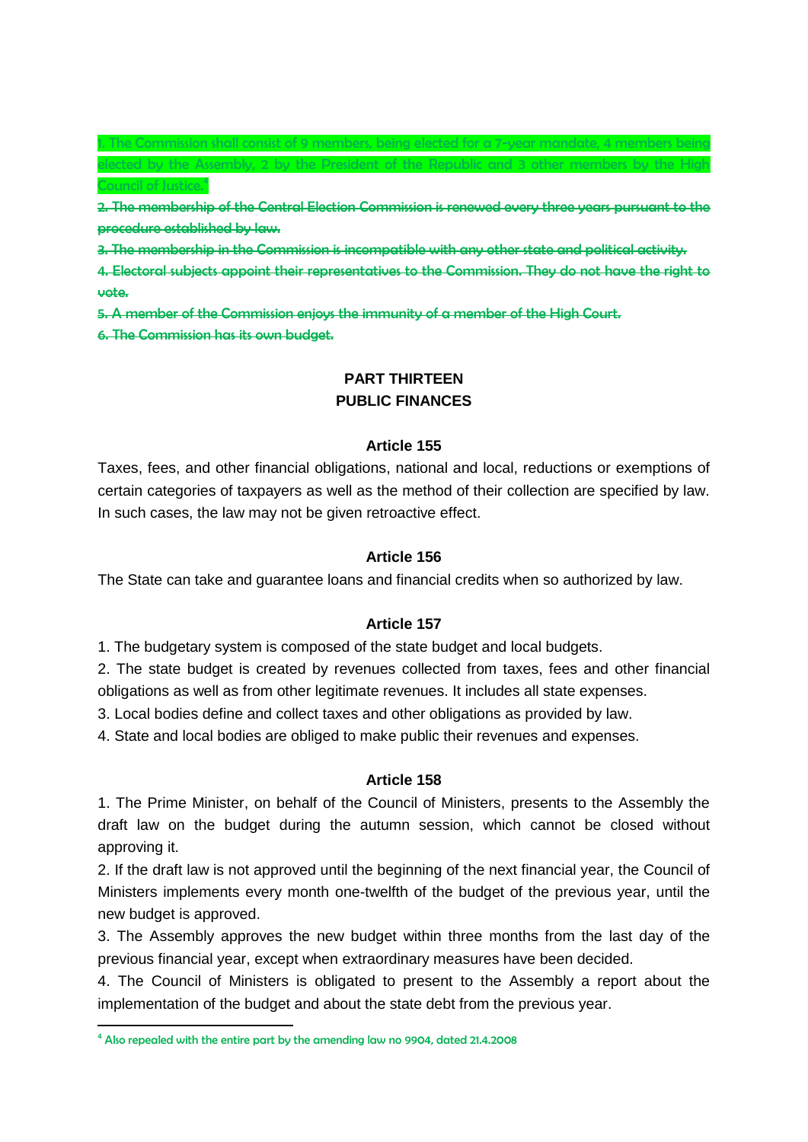1. The Commission shall consist of 9 members, being elected for a 7-year mandate, 4 members being d by the Assembly, 2 by the President of the Republic and 3 other members by Council of Justice.<sup>4</sup>

2. The membership of the Central Election Commission is renewed every three years pursuant to the procedure established by law.

3. The membership in the Commission is incompatible with any other state and political activity.

4. Electoral subjects appoint their representatives to the Commission. They do not have the right to vote.

5. A member of the Commission enjoys the immunity of a member of the High Court.

6. The Commission has its own budget.

# **PART THIRTEEN PUBLIC FINANCES**

#### **Article 155**

Taxes, fees, and other financial obligations, national and local, reductions or exemptions of certain categories of taxpayers as well as the method of their collection are specified by law. In such cases, the law may not be given retroactive effect.

#### **Article 156**

The State can take and guarantee loans and financial credits when so authorized by law.

### **Article 157**

1. The budgetary system is composed of the state budget and local budgets.

2. The state budget is created by revenues collected from taxes, fees and other financial obligations as well as from other legitimate revenues. It includes all state expenses.

3. Local bodies define and collect taxes and other obligations as provided by law.

4. State and local bodies are obliged to make public their revenues and expenses.

#### **Article 158**

1. The Prime Minister, on behalf of the Council of Ministers, presents to the Assembly the draft law on the budget during the autumn session, which cannot be closed without approving it.

2. If the draft law is not approved until the beginning of the next financial year, the Council of Ministers implements every month one-twelfth of the budget of the previous year, until the new budget is approved.

3. The Assembly approves the new budget within three months from the last day of the previous financial year, except when extraordinary measures have been decided.

4. The Council of Ministers is obligated to present to the Assembly a report about the implementation of the budget and about the state debt from the previous year.

1

<sup>&</sup>lt;sup>4</sup> Also repealed with the entire part by the amending law no 9904, dated 21.4.2008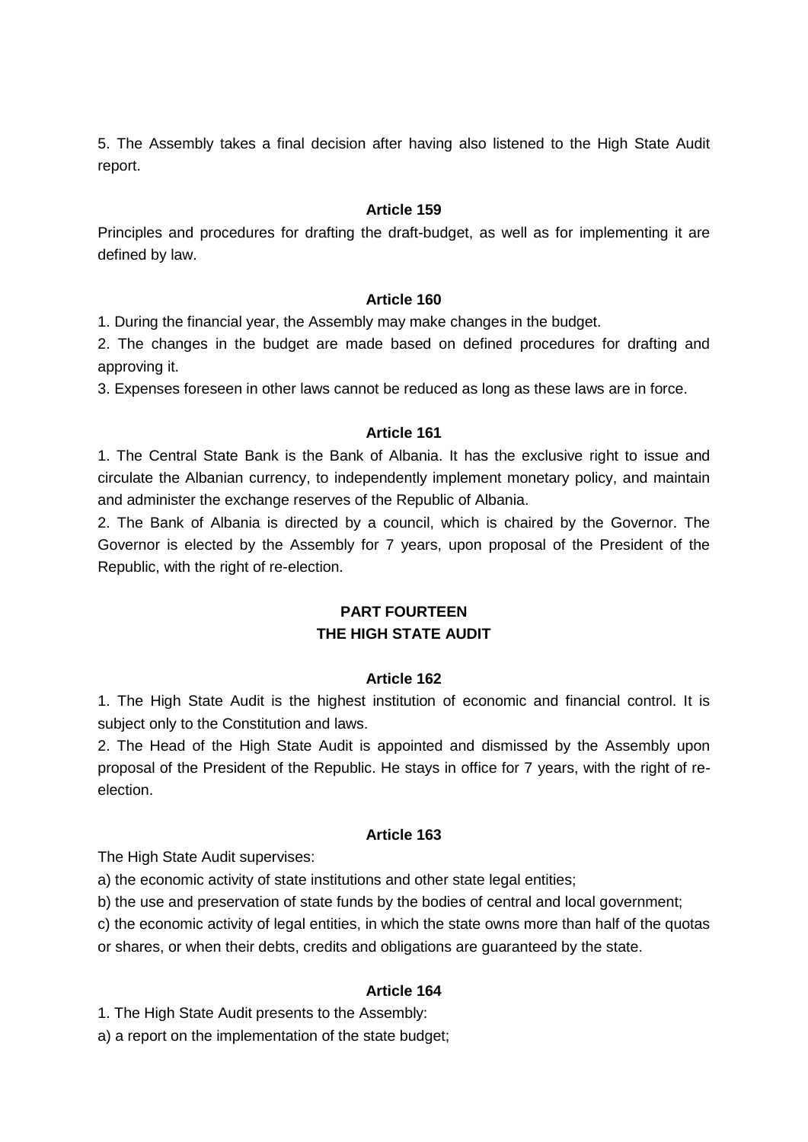5. The Assembly takes a final decision after having also listened to the High State Audit report.

### **Article 159**

Principles and procedures for drafting the draft-budget, as well as for implementing it are defined by law.

### **Article 160**

1. During the financial year, the Assembly may make changes in the budget.

2. The changes in the budget are made based on defined procedures for drafting and approving it.

3. Expenses foreseen in other laws cannot be reduced as long as these laws are in force.

### **Article 161**

1. The Central State Bank is the Bank of Albania. It has the exclusive right to issue and circulate the Albanian currency, to independently implement monetary policy, and maintain and administer the exchange reserves of the Republic of Albania.

2. The Bank of Albania is directed by a council, which is chaired by the Governor. The Governor is elected by the Assembly for 7 years, upon proposal of the President of the Republic, with the right of re-election.

# **PART FOURTEEN THE HIGH STATE AUDIT**

### **Article 162**

1. The High State Audit is the highest institution of economic and financial control. It is subject only to the Constitution and laws.

2. The Head of the High State Audit is appointed and dismissed by the Assembly upon proposal of the President of the Republic. He stays in office for 7 years, with the right of reelection.

### **Article 163**

The High State Audit supervises:

a) the economic activity of state institutions and other state legal entities;

b) the use and preservation of state funds by the bodies of central and local government;

c) the economic activity of legal entities, in which the state owns more than half of the quotas

or shares, or when their debts, credits and obligations are guaranteed by the state.

### **Article 164**

1. The High State Audit presents to the Assembly:

a) a report on the implementation of the state budget;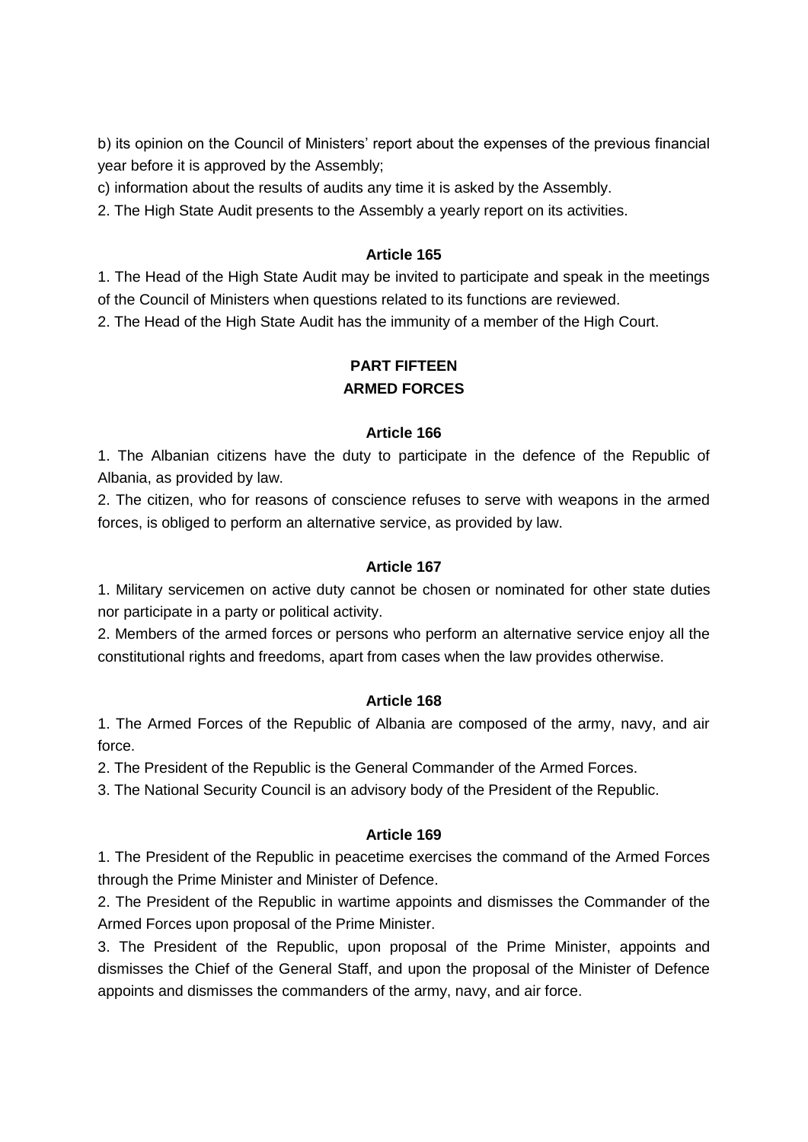b) its opinion on the Council of Ministers' report about the expenses of the previous financial year before it is approved by the Assembly;

c) information about the results of audits any time it is asked by the Assembly.

2. The High State Audit presents to the Assembly a yearly report on its activities.

### **Article 165**

1. The Head of the High State Audit may be invited to participate and speak in the meetings of the Council of Ministers when questions related to its functions are reviewed.

2. The Head of the High State Audit has the immunity of a member of the High Court.

# **PART FIFTEEN ARMED FORCES**

### **Article 166**

1. The Albanian citizens have the duty to participate in the defence of the Republic of Albania, as provided by law.

2. The citizen, who for reasons of conscience refuses to serve with weapons in the armed forces, is obliged to perform an alternative service, as provided by law.

## **Article 167**

1. Military servicemen on active duty cannot be chosen or nominated for other state duties nor participate in a party or political activity.

2. Members of the armed forces or persons who perform an alternative service enjoy all the constitutional rights and freedoms, apart from cases when the law provides otherwise.

### **Article 168**

1. The Armed Forces of the Republic of Albania are composed of the army, navy, and air force.

2. The President of the Republic is the General Commander of the Armed Forces.

3. The National Security Council is an advisory body of the President of the Republic.

### **Article 169**

1. The President of the Republic in peacetime exercises the command of the Armed Forces through the Prime Minister and Minister of Defence.

2. The President of the Republic in wartime appoints and dismisses the Commander of the Armed Forces upon proposal of the Prime Minister.

3. The President of the Republic, upon proposal of the Prime Minister, appoints and dismisses the Chief of the General Staff, and upon the proposal of the Minister of Defence appoints and dismisses the commanders of the army, navy, and air force.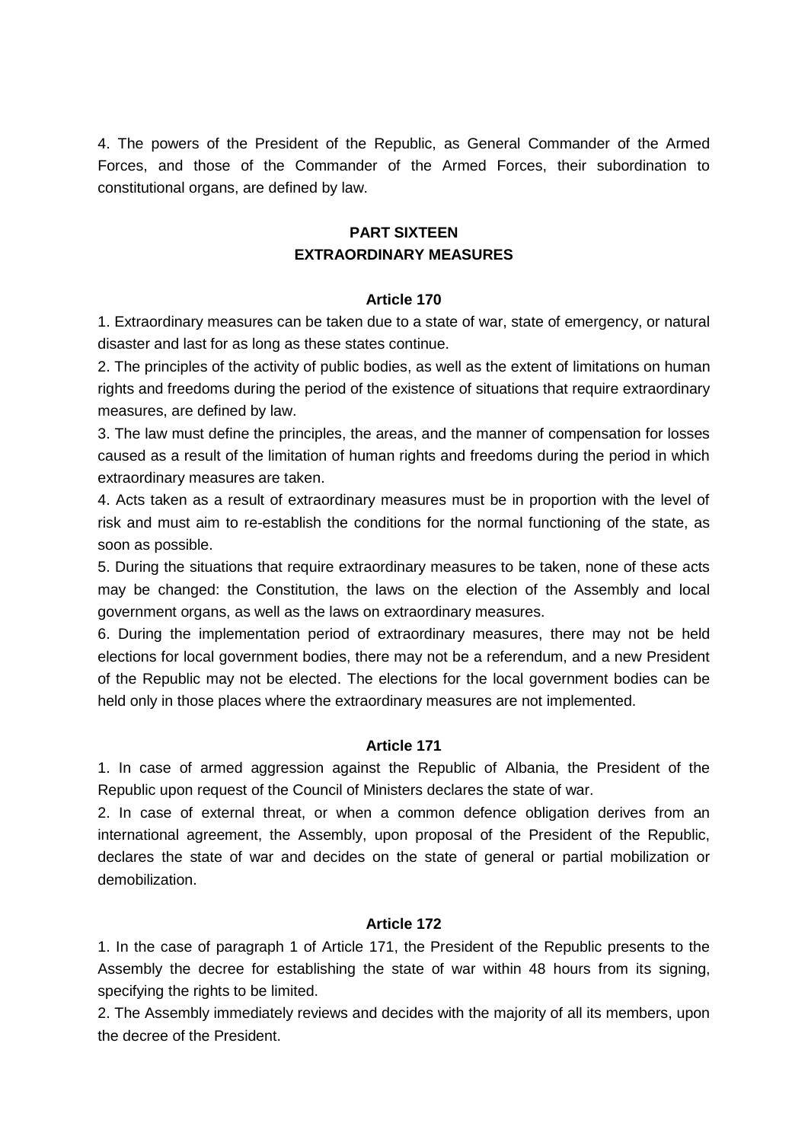4. The powers of the President of the Republic, as General Commander of the Armed Forces, and those of the Commander of the Armed Forces, their subordination to constitutional organs, are defined by law.

# **PART SIXTEEN EXTRAORDINARY MEASURES**

### **Article 170**

1. Extraordinary measures can be taken due to a state of war, state of emergency, or natural disaster and last for as long as these states continue.

2. The principles of the activity of public bodies, as well as the extent of limitations on human rights and freedoms during the period of the existence of situations that require extraordinary measures, are defined by law.

3. The law must define the principles, the areas, and the manner of compensation for losses caused as a result of the limitation of human rights and freedoms during the period in which extraordinary measures are taken.

4. Acts taken as a result of extraordinary measures must be in proportion with the level of risk and must aim to re-establish the conditions for the normal functioning of the state, as soon as possible.

5. During the situations that require extraordinary measures to be taken, none of these acts may be changed: the Constitution, the laws on the election of the Assembly and local government organs, as well as the laws on extraordinary measures.

6. During the implementation period of extraordinary measures, there may not be held elections for local government bodies, there may not be a referendum, and a new President of the Republic may not be elected. The elections for the local government bodies can be held only in those places where the extraordinary measures are not implemented.

### **Article 171**

1. In case of armed aggression against the Republic of Albania, the President of the Republic upon request of the Council of Ministers declares the state of war.

2. In case of external threat, or when a common defence obligation derives from an international agreement, the Assembly, upon proposal of the President of the Republic, declares the state of war and decides on the state of general or partial mobilization or demobilization.

### **Article 172**

1. In the case of paragraph 1 of Article 171, the President of the Republic presents to the Assembly the decree for establishing the state of war within 48 hours from its signing, specifying the rights to be limited.

2. The Assembly immediately reviews and decides with the majority of all its members, upon the decree of the President.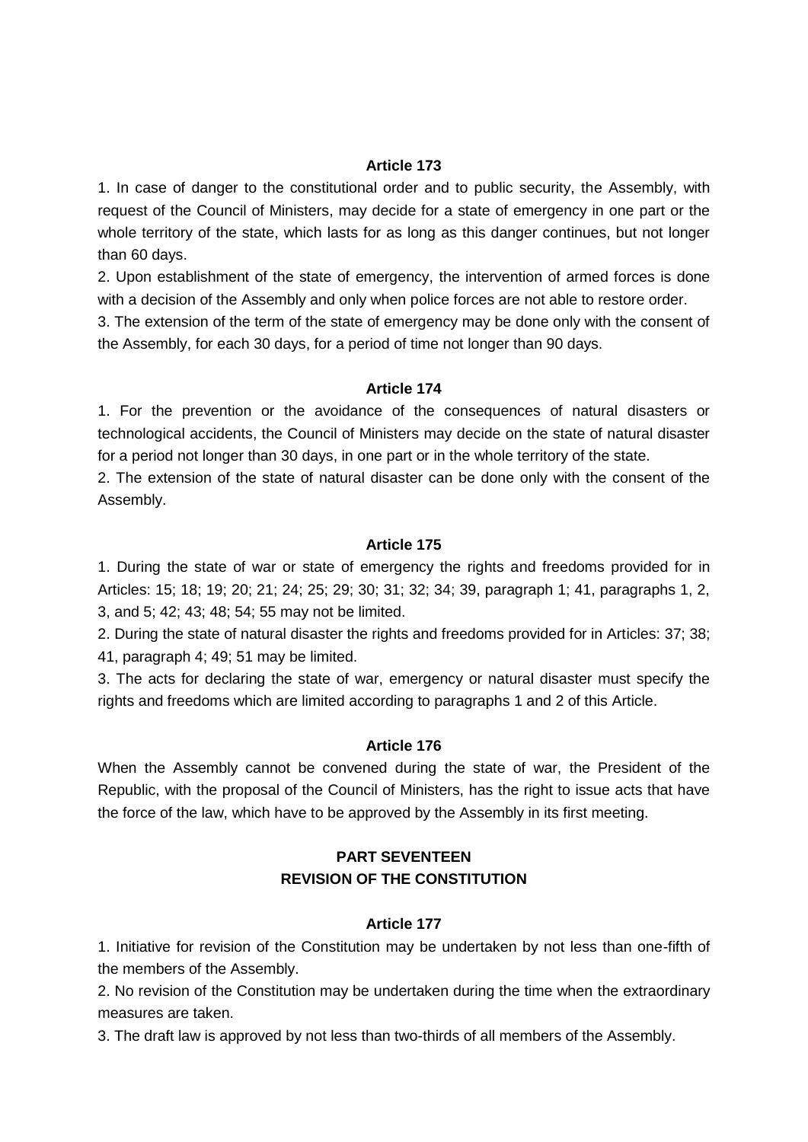1. In case of danger to the constitutional order and to public security, the Assembly, with request of the Council of Ministers, may decide for a state of emergency in one part or the whole territory of the state, which lasts for as long as this danger continues, but not longer than 60 days.

2. Upon establishment of the state of emergency, the intervention of armed forces is done with a decision of the Assembly and only when police forces are not able to restore order.

3. The extension of the term of the state of emergency may be done only with the consent of the Assembly, for each 30 days, for a period of time not longer than 90 days.

### **Article 174**

1. For the prevention or the avoidance of the consequences of natural disasters or technological accidents, the Council of Ministers may decide on the state of natural disaster for a period not longer than 30 days, in one part or in the whole territory of the state.

2. The extension of the state of natural disaster can be done only with the consent of the Assembly.

#### **Article 175**

1. During the state of war or state of emergency the rights and freedoms provided for in Articles: 15; 18; 19; 20; 21; 24; 25; 29; 30; 31; 32; 34; 39, paragraph 1; 41, paragraphs 1, 2, 3, and 5; 42; 43; 48; 54; 55 may not be limited.

2. During the state of natural disaster the rights and freedoms provided for in Articles: 37; 38; 41, paragraph 4; 49; 51 may be limited.

3. The acts for declaring the state of war, emergency or natural disaster must specify the rights and freedoms which are limited according to paragraphs 1 and 2 of this Article.

### **Article 176**

When the Assembly cannot be convened during the state of war, the President of the Republic, with the proposal of the Council of Ministers, has the right to issue acts that have the force of the law, which have to be approved by the Assembly in its first meeting.

## **PART SEVENTEEN REVISION OF THE CONSTITUTION**

#### **Article 177**

1. Initiative for revision of the Constitution may be undertaken by not less than one-fifth of the members of the Assembly.

2. No revision of the Constitution may be undertaken during the time when the extraordinary measures are taken.

3. The draft law is approved by not less than two-thirds of all members of the Assembly.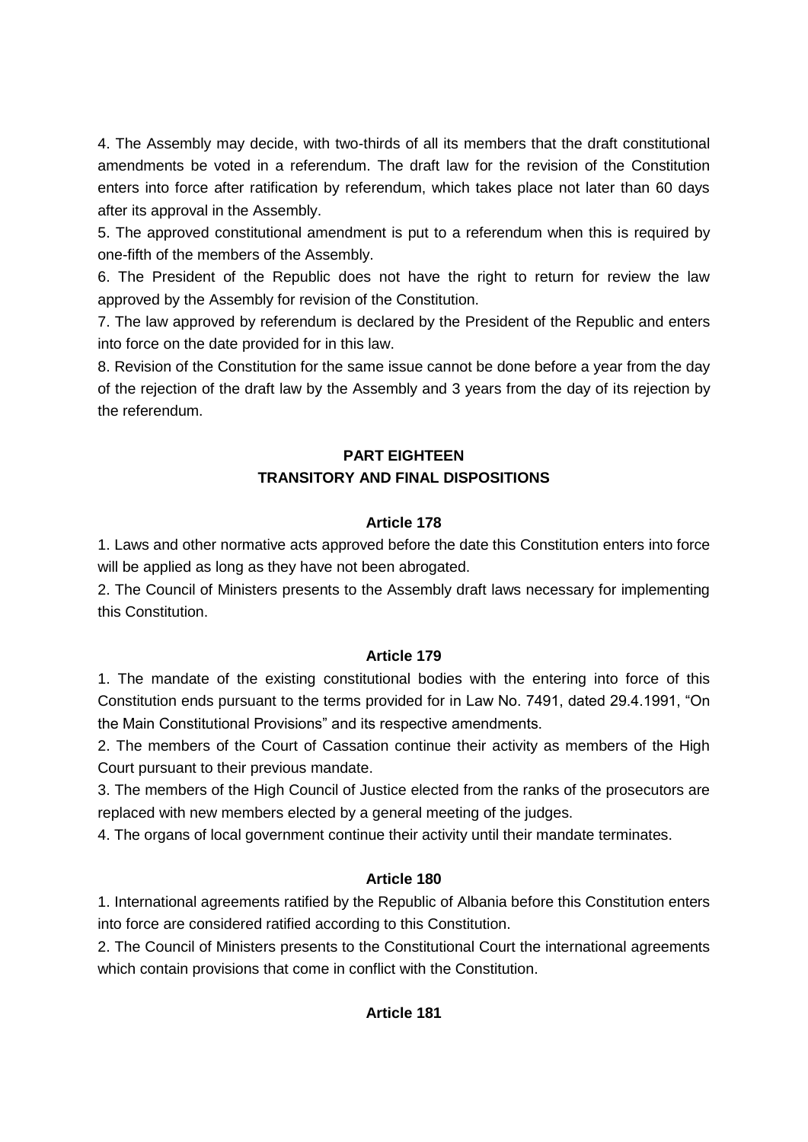4. The Assembly may decide, with two-thirds of all its members that the draft constitutional amendments be voted in a referendum. The draft law for the revision of the Constitution enters into force after ratification by referendum, which takes place not later than 60 days after its approval in the Assembly.

5. The approved constitutional amendment is put to a referendum when this is required by one-fifth of the members of the Assembly.

6. The President of the Republic does not have the right to return for review the law approved by the Assembly for revision of the Constitution.

7. The law approved by referendum is declared by the President of the Republic and enters into force on the date provided for in this law.

8. Revision of the Constitution for the same issue cannot be done before a year from the day of the rejection of the draft law by the Assembly and 3 years from the day of its rejection by the referendum.

# **PART EIGHTEEN TRANSITORY AND FINAL DISPOSITIONS**

# **Article 178**

1. Laws and other normative acts approved before the date this Constitution enters into force will be applied as long as they have not been abrogated.

2. The Council of Ministers presents to the Assembly draft laws necessary for implementing this Constitution.

# **Article 179**

1. The mandate of the existing constitutional bodies with the entering into force of this Constitution ends pursuant to the terms provided for in Law No. 7491, dated 29.4.1991, "On the Main Constitutional Provisions" and its respective amendments.

2. The members of the Court of Cassation continue their activity as members of the High Court pursuant to their previous mandate.

3. The members of the High Council of Justice elected from the ranks of the prosecutors are replaced with new members elected by a general meeting of the judges.

4. The organs of local government continue their activity until their mandate terminates.

# **Article 180**

1. International agreements ratified by the Republic of Albania before this Constitution enters into force are considered ratified according to this Constitution.

2. The Council of Ministers presents to the Constitutional Court the international agreements which contain provisions that come in conflict with the Constitution.

# **Article 181**